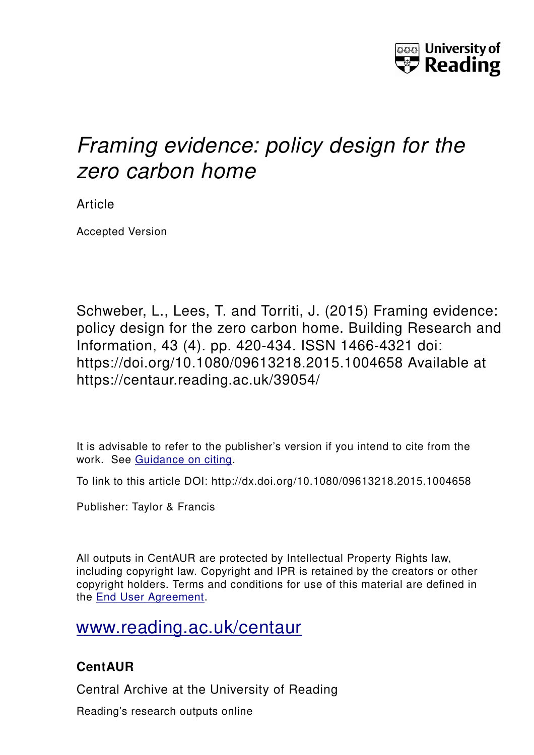

# *Framing evidence: policy design for the zero carbon home*

Article

Accepted Version

Schweber, L., Lees, T. and Torriti, J. (2015) Framing evidence: policy design for the zero carbon home. Building Research and Information, 43 (4). pp. 420-434. ISSN 1466-4321 doi: https://doi.org/10.1080/09613218.2015.1004658 Available at https://centaur.reading.ac.uk/39054/

It is advisable to refer to the publisher's version if you intend to cite from the work. See [Guidance on citing.](http://centaur.reading.ac.uk/71187/10/CentAUR%20citing%20guide.pdf)

To link to this article DOI: http://dx.doi.org/10.1080/09613218.2015.1004658

Publisher: Taylor & Francis

All outputs in CentAUR are protected by Intellectual Property Rights law, including copyright law. Copyright and IPR is retained by the creators or other copyright holders. Terms and conditions for use of this material are defined in the [End User Agreement.](http://centaur.reading.ac.uk/licence)

# [www.reading.ac.uk/centaur](http://www.reading.ac.uk/centaur)

# **CentAUR**

Central Archive at the University of Reading

Reading's research outputs online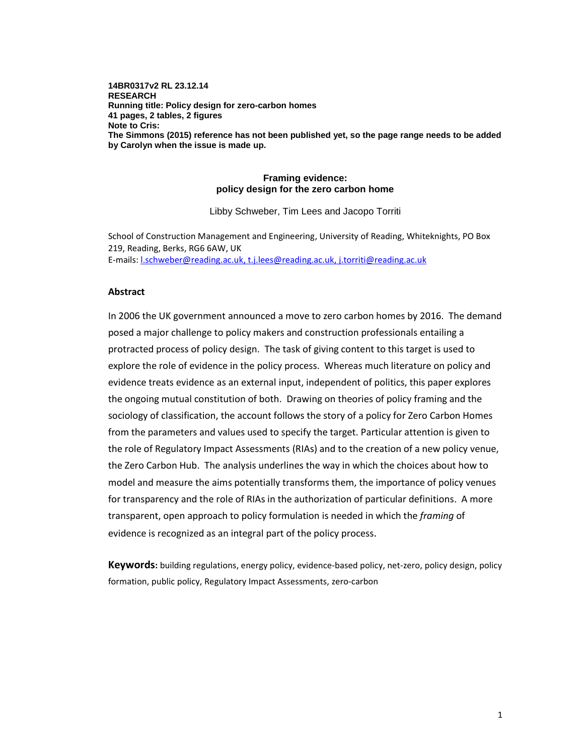**14BR0317v2 RL 23.12.14 RESEARCH Running title: Policy design for zero-carbon homes 41 pages, 2 tables, 2 figures Note to Cris: The Simmons (2015) reference has not been published yet, so the page range needs to be added by Carolyn when the issue is made up.**

#### **Framing evidence: policy design for the zero carbon home**

Libby Schweber, Tim Lees and Jacopo Torriti

School of Construction Management and Engineering, University of Reading, Whiteknights, PO Box 219, Reading, Berks, RG6 6AW, UK E-mails[: l.schweber@reading.ac.uk,](mailto:l.schweber@reading.ac.uk) [t.j.lees@reading.ac.uk, j.torriti@reading.ac.uk](mailto:H.Haroglu@kingston.ac.uk)

#### **Abstract**

In 2006 the UK government announced a move to zero carbon homes by 2016. The demand posed a major challenge to policy makers and construction professionals entailing a protracted process of policy design. The task of giving content to this target is used to explore the role of evidence in the policy process. Whereas much literature on policy and evidence treats evidence as an external input, independent of politics, this paper explores the ongoing mutual constitution of both. Drawing on theories of policy framing and the sociology of classification, the account follows the story of a policy for Zero Carbon Homes from the parameters and values used to specify the target. Particular attention is given to the role of Regulatory Impact Assessments (RIAs) and to the creation of a new policy venue, the Zero Carbon Hub. The analysis underlines the way in which the choices about how to model and measure the aims potentially transforms them, the importance of policy venues for transparency and the role of RIAs in the authorization of particular definitions. A more transparent, open approach to policy formulation is needed in which the *framing* of evidence is recognized as an integral part of the policy process.

**Keywords:** building regulations, energy policy, evidence-based policy, net-zero, policy design, policy formation, public policy, Regulatory Impact Assessments, zero-carbon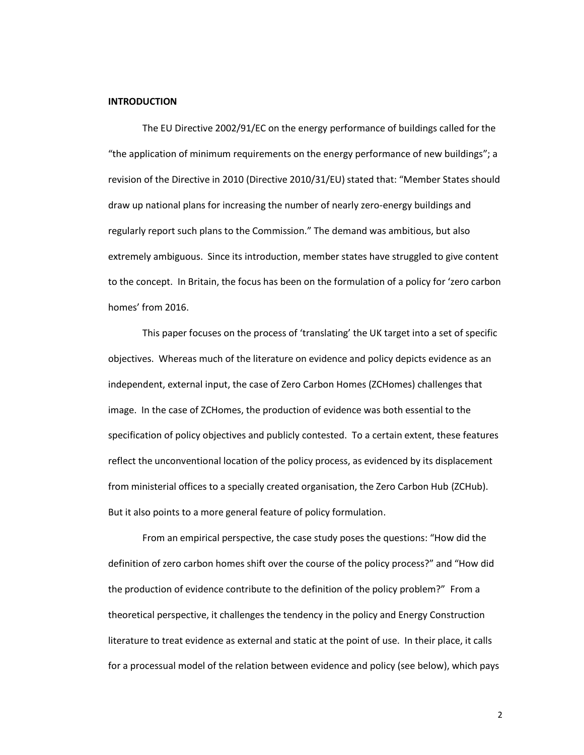# **INTRODUCTION**

The EU Directive 2002/91/EC on the energy performance of buildings called for the "the application of minimum requirements on the energy performance of new buildings"; a revision of the Directive in 2010 (Directive 2010/31/EU) stated that: "Member States should draw up national plans for increasing the number of nearly zero-energy buildings and regularly report such plans to the Commission." The demand was ambitious, but also extremely ambiguous. Since its introduction, member states have struggled to give content to the concept. In Britain, the focus has been on the formulation of a policy for 'zero carbon homes' from 2016.

This paper focuses on the process of 'translating' the UK target into a set of specific objectives. Whereas much of the literature on evidence and policy depicts evidence as an independent, external input, the case of Zero Carbon Homes (ZCHomes) challenges that image. In the case of ZCHomes, the production of evidence was both essential to the specification of policy objectives and publicly contested. To a certain extent, these features reflect the unconventional location of the policy process, as evidenced by its displacement from ministerial offices to a specially created organisation, the Zero Carbon Hub (ZCHub). But it also points to a more general feature of policy formulation.

From an empirical perspective, the case study poses the questions: "How did the definition of zero carbon homes shift over the course of the policy process?" and "How did the production of evidence contribute to the definition of the policy problem?" From a theoretical perspective, it challenges the tendency in the policy and Energy Construction literature to treat evidence as external and static at the point of use. In their place, it calls for a processual model of the relation between evidence and policy (see below), which pays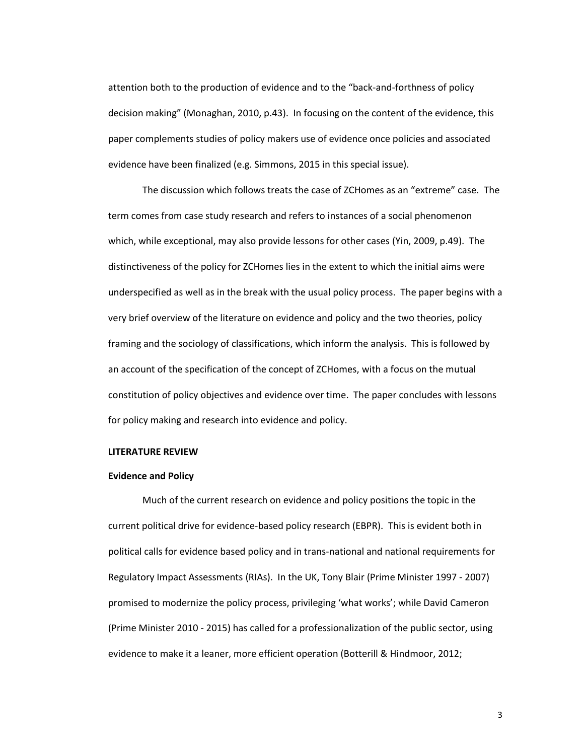attention both to the production of evidence and to the "back-and-forthness of policy decision making" [\(Monaghan, 2010, p.43\)](#page-40-0). In focusing on the content of the evidence, this paper complements studies of policy makers use of evidence once policies and associated evidence have been finalized (e.g. Simmons, 2015 in this special issue).

The discussion which follows treats the case of ZCHomes as an "extreme" case. The term comes from case study research and refers to instances of a social phenomenon which, while exceptional, may also provide lessons for other cases [\(Yin, 2009, p.49\)](#page-41-0). The distinctiveness of the policy for ZCHomes lies in the extent to which the initial aims were underspecified as well as in the break with the usual policy process. The paper begins with a very brief overview of the literature on evidence and policy and the two theories, policy framing and the sociology of classifications, which inform the analysis. This is followed by an account of the specification of the concept of ZCHomes, with a focus on the mutual constitution of policy objectives and evidence over time. The paper concludes with lessons for policy making and research into evidence and policy.

#### **LITERATURE REVIEW**

#### **Evidence and Policy**

Much of the current research on evidence and policy positions the topic in the current political drive for evidence-based policy research (EBPR). This is evident both in political calls for evidence based policy and in trans-national and national requirements for Regulatory Impact Assessments (RIAs). In the UK, Tony Blair (Prime Minister 1997 - 2007) promised to modernize the policy process, privileging 'what works'; while David Cameron (Prime Minister 2010 - 2015) has called for a professionalization of the public sector, using evidence to make it a leaner, more efficient operation [\(Botterill & Hindmoor, 2012;](#page-39-0)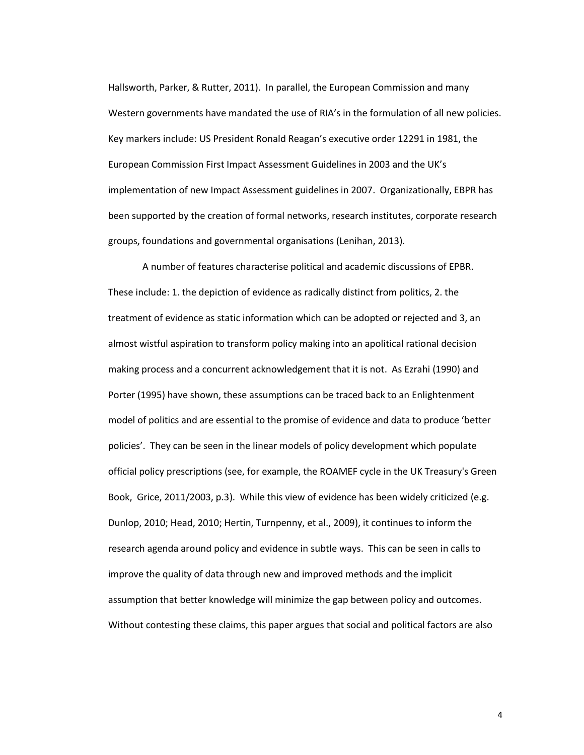[Hallsworth, Parker, & Rutter, 2011\)](#page-40-1). In parallel, the European Commission and many Western governments have mandated the use of RIA's in the formulation of all new policies. Key markers include: US President Ronald Reagan's executive order 12291 in 1981, the European Commission First Impact Assessment Guidelines in 2003 and the UK's implementation of new Impact Assessment guidelines in 2007. Organizationally, EBPR has been supported by the creation of formal networks, research institutes, corporate research groups, foundations and governmental organisations [\(Lenihan, 2013\)](#page-40-2).

A number of features characterise political and academic discussions of EPBR. These include: 1. the depiction of evidence as radically distinct from politics, 2. the treatment of evidence as static information which can be adopted or rejected and 3, an almost wistful aspiration to transform policy making into an apolitical rational decision making process and a concurrent acknowledgement that it is not. As Ezrahi [\(1990\)](#page-39-1) and Porter [\(1995\)](#page-40-3) have shown, these assumptions can be traced back to an Enlightenment model of politics and are essential to the promise of evidence and data to produce 'better policies'. They can be seen in the linear models of policy development which populate official policy prescriptions [\(see, for example, the ROAMEF cycle in the UK Treasury's Green](#page-39-2)  [Book, Grice, 2011/2003, p.3\)](#page-39-2). While this view of evidence has been widely criticized (e.g. [Dunlop, 2010;](#page-39-3) [Head, 2010;](#page-40-4) [Hertin, Turnpenny, et al., 2009\)](#page-40-5), it continues to inform the research agenda around policy and evidence in subtle ways. This can be seen in calls to improve the quality of data through new and improved methods and the implicit assumption that better knowledge will minimize the gap between policy and outcomes. Without contesting these claims, this paper argues that social and political factors are also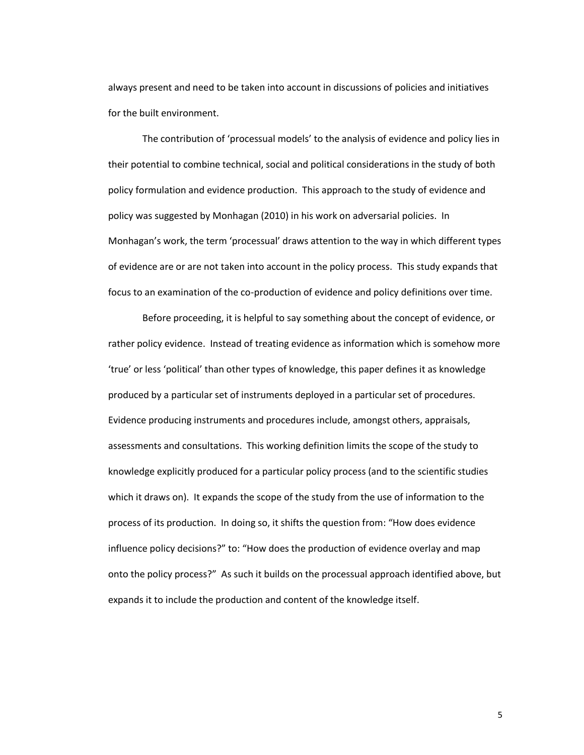always present and need to be taken into account in discussions of policies and initiatives for the built environment.

The contribution of 'processual models' to the analysis of evidence and policy lies in their potential to combine technical, social and political considerations in the study of both policy formulation and evidence production. This approach to the study of evidence and policy was suggested by Monhagan (2010) in his work on adversarial policies. In Monhagan's work, the term 'processual' draws attention to the way in which different types of evidence are or are not taken into account in the policy process. This study expands that focus to an examination of the co-production of evidence and policy definitions over time.

Before proceeding, it is helpful to say something about the concept of evidence, or rather policy evidence. Instead of treating evidence as information which is somehow more 'true' or less 'political' than other types of knowledge, this paper defines it as knowledge produced by a particular set of instruments deployed in a particular set of procedures. Evidence producing instruments and procedures include, amongst others, appraisals, assessments and consultations. This working definition limits the scope of the study to knowledge explicitly produced for a particular policy process (and to the scientific studies which it draws on). It expands the scope of the study from the use of information to the process of its production. In doing so, it shifts the question from: "How does evidence influence policy decisions?" to: "How does the production of evidence overlay and map onto the policy process?" As such it builds on the processual approach identified above, but expands it to include the production and content of the knowledge itself.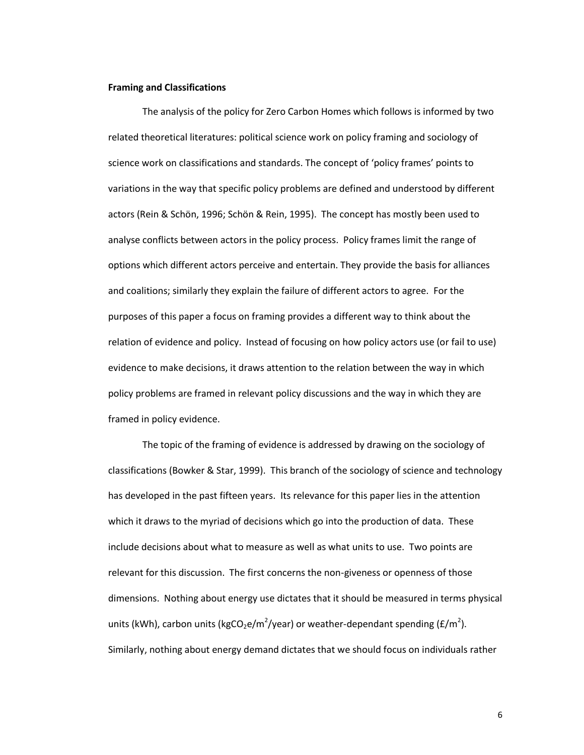#### **Framing and Classifications**

The analysis of the policy for Zero Carbon Homes which follows is informed by two related theoretical literatures: political science work on policy framing and sociology of science work on classifications and standards. The concept of 'policy frames' points to variations in the way that specific policy problems are defined and understood by different actors [\(Rein & Schön, 1996;](#page-41-1) [Schön & Rein, 1995\)](#page-41-2). The concept has mostly been used to analyse conflicts between actors in the policy process. Policy frames limit the range of options which different actors perceive and entertain. They provide the basis for alliances and coalitions; similarly they explain the failure of different actors to agree. For the purposes of this paper a focus on framing provides a different way to think about the relation of evidence and policy. Instead of focusing on how policy actors use (or fail to use) evidence to make decisions, it draws attention to the relation between the way in which policy problems are framed in relevant policy discussions and the way in which they are framed in policy evidence.

The topic of the framing of evidence is addressed by drawing on the sociology of classifications [\(Bowker & Star, 1999\)](#page-39-4). This branch of the sociology of science and technology has developed in the past fifteen years. Its relevance for this paper lies in the attention which it draws to the myriad of decisions which go into the production of data. These include decisions about what to measure as well as what units to use. Two points are relevant for this discussion. The first concerns the non-giveness or openness of those dimensions. Nothing about energy use dictates that it should be measured in terms physical units (kWh), carbon units (kgCO<sub>2</sub>e/m<sup>2</sup>/year) or weather-dependant spending (£/m<sup>2</sup>). Similarly, nothing about energy demand dictates that we should focus on individuals rather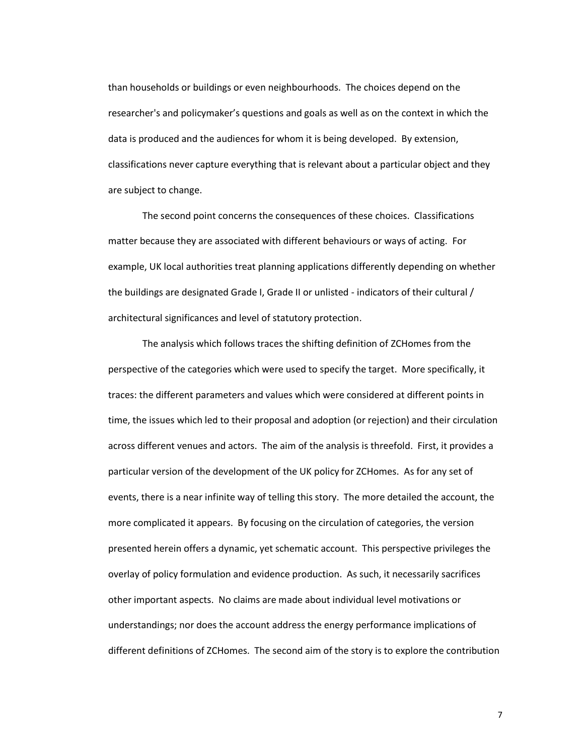than households or buildings or even neighbourhoods. The choices depend on the researcher's and policymaker's questions and goals as well as on the context in which the data is produced and the audiences for whom it is being developed. By extension, classifications never capture everything that is relevant about a particular object and they are subject to change.

The second point concerns the consequences of these choices. Classifications matter because they are associated with different behaviours or ways of acting. For example, UK local authorities treat planning applications differently depending on whether the buildings are designated Grade I, Grade II or unlisted - indicators of their cultural / architectural significances and level of statutory protection.

The analysis which follows traces the shifting definition of ZCHomes from the perspective of the categories which were used to specify the target. More specifically, it traces: the different parameters and values which were considered at different points in time, the issues which led to their proposal and adoption (or rejection) and their circulation across different venues and actors. The aim of the analysis is threefold. First, it provides a particular version of the development of the UK policy for ZCHomes. As for any set of events, there is a near infinite way of telling this story. The more detailed the account, the more complicated it appears. By focusing on the circulation of categories, the version presented herein offers a dynamic, yet schematic account. This perspective privileges the overlay of policy formulation and evidence production. As such, it necessarily sacrifices other important aspects. No claims are made about individual level motivations or understandings; nor does the account address the energy performance implications of different definitions of ZCHomes. The second aim of the story is to explore the contribution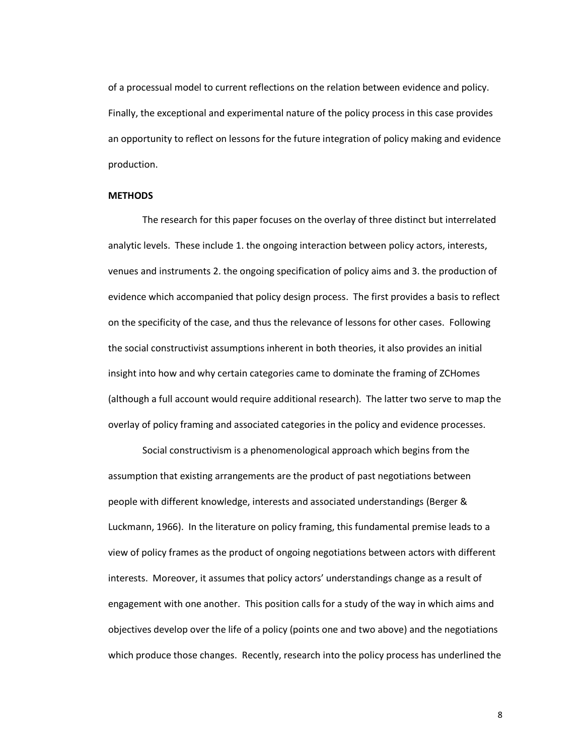of a processual model to current reflections on the relation between evidence and policy. Finally, the exceptional and experimental nature of the policy process in this case provides an opportunity to reflect on lessons for the future integration of policy making and evidence production.

#### **METHODS**

The research for this paper focuses on the overlay of three distinct but interrelated analytic levels. These include 1. the ongoing interaction between policy actors, interests, venues and instruments 2. the ongoing specification of policy aims and 3. the production of evidence which accompanied that policy design process. The first provides a basis to reflect on the specificity of the case, and thus the relevance of lessons for other cases. Following the social constructivist assumptions inherent in both theories, it also provides an initial insight into how and why certain categories came to dominate the framing of ZCHomes (although a full account would require additional research). The latter two serve to map the overlay of policy framing and associated categories in the policy and evidence processes.

Social constructivism is a phenomenological approach which begins from the assumption that existing arrangements are the product of past negotiations between people with different knowledge, interests and associated understandings [\(Berger &](#page-39-5)  [Luckmann, 1966\)](#page-39-5). In the literature on policy framing, this fundamental premise leads to a view of policy frames as the product of ongoing negotiations between actors with different interests. Moreover, it assumes that policy actors' understandings change as a result of engagement with one another. This position calls for a study of the way in which aims and objectives develop over the life of a policy (points one and two above) and the negotiations which produce those changes. Recently, research into the policy process has underlined the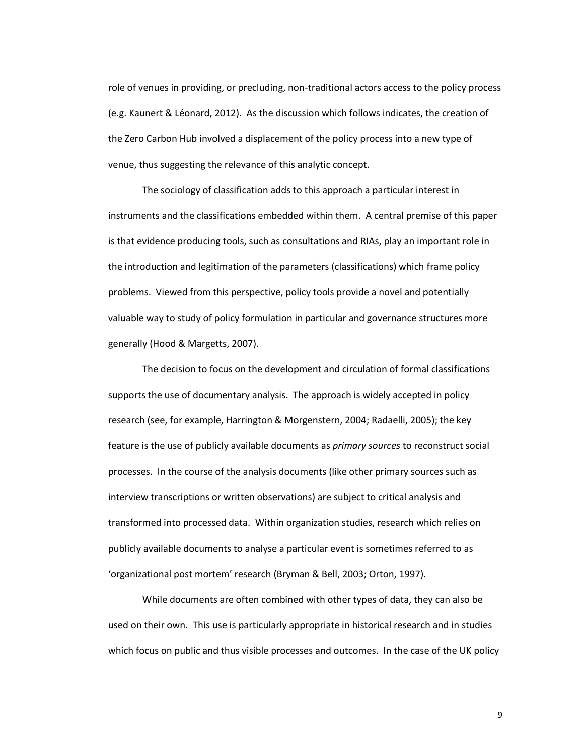role of venues in providing, or precluding, non-traditional actors access to the policy process [\(e.g. Kaunert & Léonard, 2012\)](#page-40-6). As the discussion which follows indicates, the creation of the Zero Carbon Hub involved a displacement of the policy process into a new type of venue, thus suggesting the relevance of this analytic concept.

The sociology of classification adds to this approach a particular interest in instruments and the classifications embedded within them. A central premise of this paper is that evidence producing tools, such as consultations and RIAs, play an important role in the introduction and legitimation of the parameters (classifications) which frame policy problems. Viewed from this perspective, policy tools provide a novel and potentially valuable way to study of policy formulation in particular and governance structures more generally [\(Hood & Margetts, 2007\)](#page-40-7).

The decision to focus on the development and circulation of formal classifications supports the use of documentary analysis. The approach is widely accepted in policy research (see, for example, [Harrington & Morgenstern, 2004;](#page-40-8) [Radaelli, 2005\)](#page-41-3); the key feature is the use of publicly available documents as *primary sources* to reconstruct social processes. In the course of the analysis documents (like other primary sources such as interview transcriptions or written observations) are subject to critical analysis and transformed into processed data. Within organization studies, research which relies on publicly available documents to analyse a particular event is sometimes referred to as 'organizational post mortem' research [\(Bryman & Bell, 2003;](#page-39-6) [Orton, 1997\)](#page-40-9).

While documents are often combined with other types of data, they can also be used on their own. This use is particularly appropriate in historical research and in studies which focus on public and thus visible processes and outcomes. In the case of the UK policy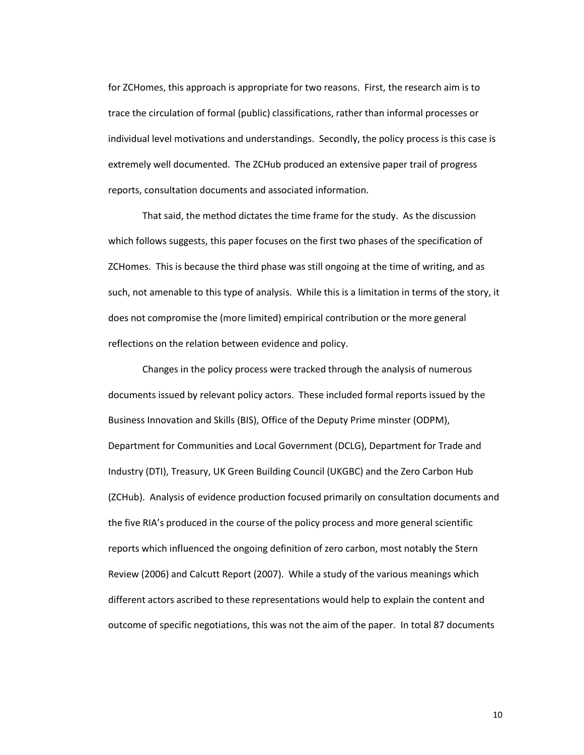for ZCHomes, this approach is appropriate for two reasons. First, the research aim is to trace the circulation of formal (public) classifications, rather than informal processes or individual level motivations and understandings. Secondly, the policy process is this case is extremely well documented. The ZCHub produced an extensive paper trail of progress reports, consultation documents and associated information.

That said, the method dictates the time frame for the study. As the discussion which follows suggests, this paper focuses on the first two phases of the specification of ZCHomes. This is because the third phase was still ongoing at the time of writing, and as such, not amenable to this type of analysis. While this is a limitation in terms of the story, it does not compromise the (more limited) empirical contribution or the more general reflections on the relation between evidence and policy.

Changes in the policy process were tracked through the analysis of numerous documents issued by relevant policy actors. These included formal reports issued by the Business Innovation and Skills (BIS), Office of the Deputy Prime minster (ODPM), Department for Communities and Local Government (DCLG), Department for Trade and Industry (DTI), Treasury, UK Green Building Council (UKGBC) and the Zero Carbon Hub (ZCHub). Analysis of evidence production focused primarily on consultation documents and the five RIA's produced in the course of the policy process and more general scientific reports which influenced the ongoing definition of zero carbon, most notably the Stern Review [\(2006\)](#page-41-4) and Calcutt Report [\(2007\)](#page-39-7). While a study of the various meanings which different actors ascribed to these representations would help to explain the content and outcome of specific negotiations, this was not the aim of the paper. In total 87 documents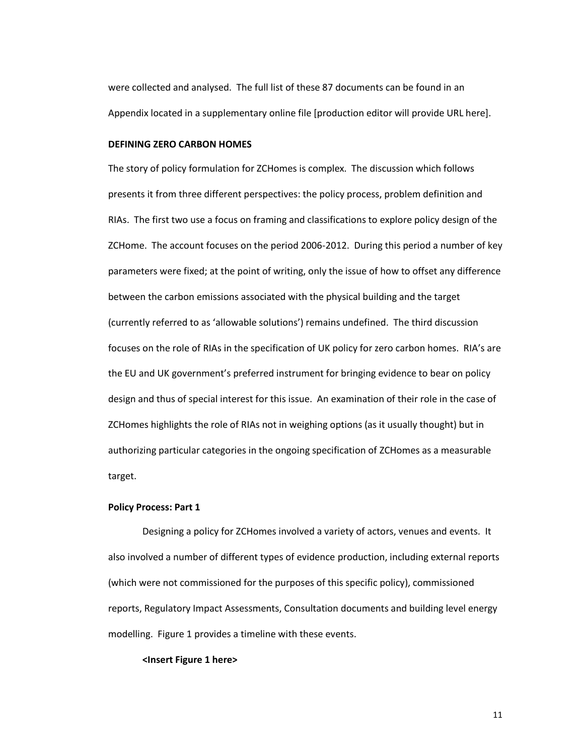were collected and analysed. The full list of these 87 documents can be found in an Appendix located in a supplementary online file [production editor will provide URL here].

# **DEFINING ZERO CARBON HOMES**

The story of policy formulation for ZCHomes is complex. The discussion which follows presents it from three different perspectives: the policy process, problem definition and RIAs. The first two use a focus on framing and classifications to explore policy design of the ZCHome. The account focuses on the period 2006-2012. During this period a number of key parameters were fixed; at the point of writing, only the issue of how to offset any difference between the carbon emissions associated with the physical building and the target (currently referred to as 'allowable solutions') remains undefined. The third discussion focuses on the role of RIAs in the specification of UK policy for zero carbon homes. RIA's are the EU and UK government's preferred instrument for bringing evidence to bear on policy design and thus of special interest for this issue. An examination of their role in the case of ZCHomes highlights the role of RIAs not in weighing options (as it usually thought) but in authorizing particular categories in the ongoing specification of ZCHomes as a measurable target.

#### **Policy Process: Part 1**

Designing a policy for ZCHomes involved a variety of actors, venues and events. It also involved a number of different types of evidence production, including external reports (which were not commissioned for the purposes of this specific policy), commissioned reports, Regulatory Impact Assessments, Consultation documents and building level energy modelling. Figure 1 provides a timeline with these events.

#### **<Insert Figure 1 here>**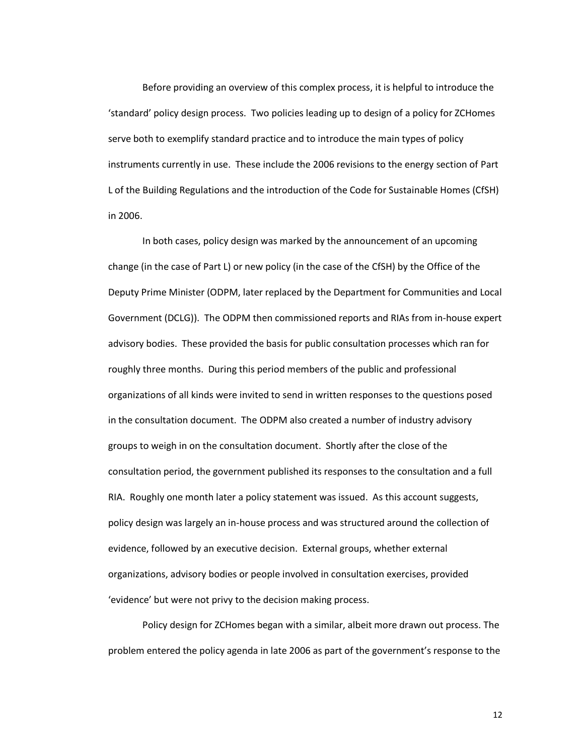Before providing an overview of this complex process, it is helpful to introduce the 'standard' policy design process. Two policies leading up to design of a policy for ZCHomes serve both to exemplify standard practice and to introduce the main types of policy instruments currently in use. These include the 2006 revisions to the energy section of Part L of the Building Regulations and the introduction of the Code for Sustainable Homes (CfSH) in 2006.

In both cases, policy design was marked by the announcement of an upcoming change (in the case of Part L) or new policy (in the case of the CfSH) by the Office of the Deputy Prime Minister (ODPM, later replaced by the Department for Communities and Local Government (DCLG)). The ODPM then commissioned reports and RIAs from in-house expert advisory bodies. These provided the basis for public consultation processes which ran for roughly three months. During this period members of the public and professional organizations of all kinds were invited to send in written responses to the questions posed in the consultation document. The ODPM also created a number of industry advisory groups to weigh in on the consultation document. Shortly after the close of the consultation period, the government published its responses to the consultation and a full RIA. Roughly one month later a policy statement was issued. As this account suggests, policy design was largely an in-house process and was structured around the collection of evidence, followed by an executive decision. External groups, whether external organizations, advisory bodies or people involved in consultation exercises, provided 'evidence' but were not privy to the decision making process.

Policy design for ZCHomes began with a similar, albeit more drawn out process. The problem entered the policy agenda in late 2006 as part of the government's response to the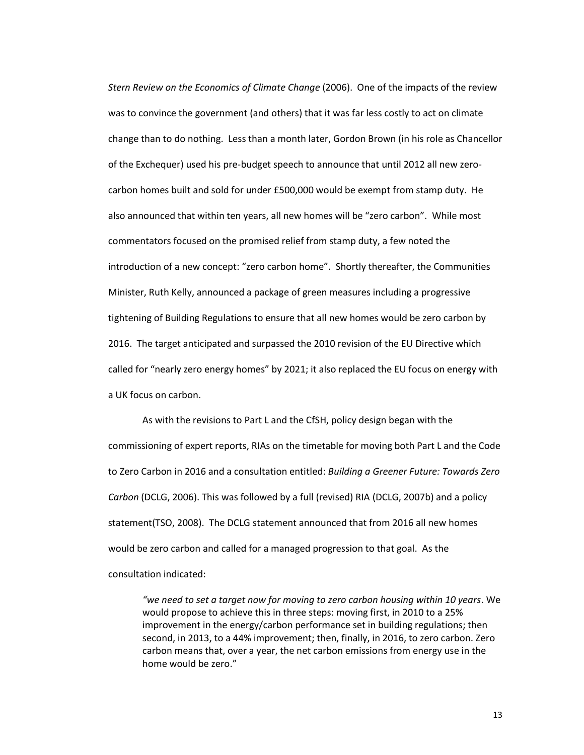*Stern Review on the Economics of Climate Change* [\(2006\)](#page-41-4). One of the impacts of the review was to convince the government (and others) that it was far less costly to act on climate change than to do nothing. Less than a month later, Gordon Brown (in his role as Chancellor of the Exchequer) used his pre-budget speech to announce that until 2012 all new zerocarbon homes built and sold for under £500,000 would be exempt from stamp duty. He also announced that within ten years, all new homes will be "zero carbon". While most commentators focused on the promised relief from stamp duty, a few noted the introduction of a new concept: "zero carbon home". Shortly thereafter, the Communities Minister, Ruth Kelly, announced a package of green measures including a progressive tightening of Building Regulations to ensure that all new homes would be zero carbon by 2016. The target anticipated and surpassed the 2010 revision of the EU Directive which called for "nearly zero energy homes" by 2021; it also replaced the EU focus on energy with a UK focus on carbon.

As with the revisions to Part L and the CfSH, policy design began with the commissioning of expert reports, RIAs on the timetable for moving both Part L and the Code to Zero Carbon in 2016 and a consultation entitled: *Building a Greener Future: Towards Zero Carbon* [\(DCLG, 2006\)](#page-39-8). This was followed by a full (revised) RIA [\(DCLG, 2007b\)](#page-39-9) and a policy statement[\(TSO, 2008\)](#page-41-5). The DCLG statement announced that from 2016 all new homes would be zero carbon and called for a managed progression to that goal. As the consultation indicated:

*"we need to set a target now for moving to zero carbon housing within 10 years*. We would propose to achieve this in three steps: moving first, in 2010 to a 25% improvement in the energy/carbon performance set in building regulations; then second, in 2013, to a 44% improvement; then, finally, in 2016, to zero carbon. Zero carbon means that, over a year, the net carbon emissions from energy use in the home would be zero."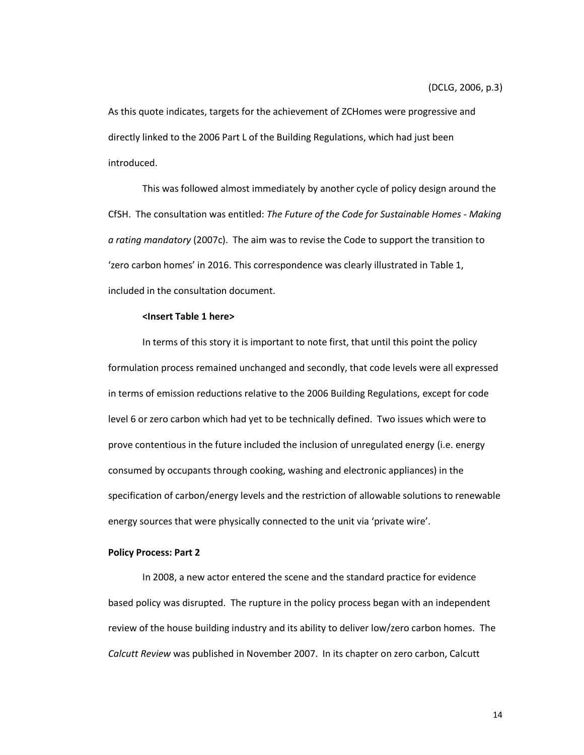As this quote indicates, targets for the achievement of ZCHomes were progressive and directly linked to the 2006 Part L of the Building Regulations, which had just been introduced.

This was followed almost immediately by another cycle of policy design around the CfSH. The consultation was entitled: *The Future of the Code for Sustainable Homes - Making a rating mandatory* [\(2007c\)](#page-39-10). The aim was to revise the Code to support the transition to 'zero carbon homes' in 2016. This correspondence was clearly illustrated in Table 1, included in the consultation document.

#### **<Insert Table 1 here>**

In terms of this story it is important to note first, that until this point the policy formulation process remained unchanged and secondly, that code levels were all expressed in terms of emission reductions relative to the 2006 Building Regulations, except for code level 6 or zero carbon which had yet to be technically defined. Two issues which were to prove contentious in the future included the inclusion of unregulated energy (i.e. energy consumed by occupants through cooking, washing and electronic appliances) in the specification of carbon/energy levels and the restriction of allowable solutions to renewable energy sources that were physically connected to the unit via 'private wire'.

#### **Policy Process: Part 2**

In 2008, a new actor entered the scene and the standard practice for evidence based policy was disrupted. The rupture in the policy process began with an independent review of the house building industry and its ability to deliver low/zero carbon homes. The *Calcutt Review* was published in November 2007. In its chapter on zero carbon, Calcutt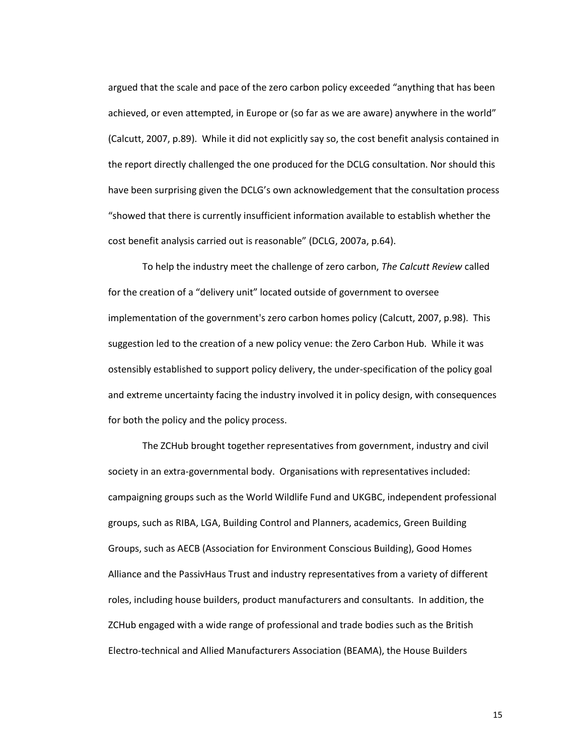argued that the scale and pace of the zero carbon policy exceeded "anything that has been achieved, or even attempted, in Europe or (so far as we are aware) anywhere in the world" [\(Calcutt, 2007, p.89\)](#page-39-7). While it did not explicitly say so, the cost benefit analysis contained in the report directly challenged the one produced for the DCLG consultation. Nor should this have been surprising given the DCLG's own acknowledgement that the consultation process "showed that there is currently insufficient information available to establish whether the cost benefit analysis carried out is reasonable" [\(DCLG, 2007a, p.64\)](#page-39-11).

To help the industry meet the challenge of zero carbon, *The Calcutt Review* called for the creation of a "delivery unit" located outside of government to oversee implementation of the government's zero carbon homes policy [\(Calcutt, 2007, p.98\)](#page-39-7). This suggestion led to the creation of a new policy venue: the Zero Carbon Hub. While it was ostensibly established to support policy delivery, the under-specification of the policy goal and extreme uncertainty facing the industry involved it in policy design, with consequences for both the policy and the policy process.

The ZCHub brought together representatives from government, industry and civil society in an extra-governmental body. Organisations with representatives included: campaigning groups such as the World Wildlife Fund and UKGBC, independent professional groups, such as RIBA, LGA, Building Control and Planners, academics, Green Building Groups, such as AECB (Association for Environment Conscious Building), Good Homes Alliance and the PassivHaus Trust and industry representatives from a variety of different roles, including house builders, product manufacturers and consultants. In addition, the ZCHub engaged with a wide range of professional and trade bodies such as the British Electro-technical and Allied Manufacturers Association (BEAMA), the House Builders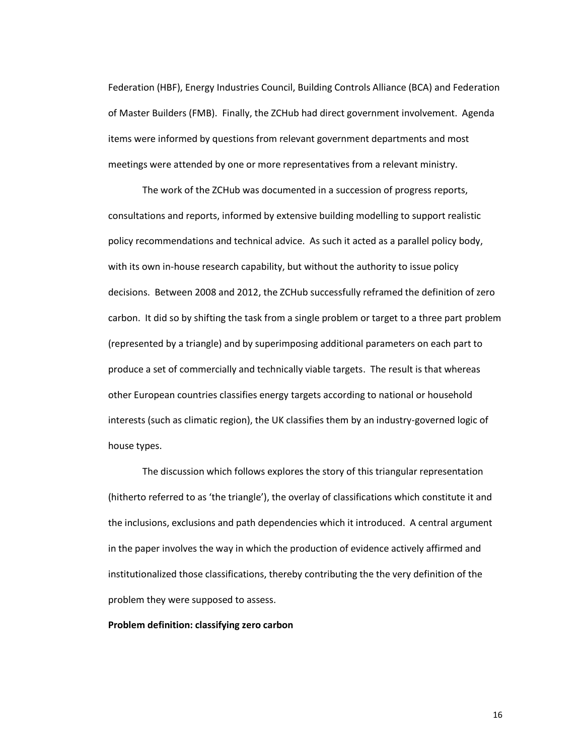Federation (HBF), Energy Industries Council, Building Controls Alliance (BCA) and Federation of Master Builders (FMB). Finally, the ZCHub had direct government involvement. Agenda items were informed by questions from relevant government departments and most meetings were attended by one or more representatives from a relevant ministry.

The work of the ZCHub was documented in a succession of progress reports, consultations and reports, informed by extensive building modelling to support realistic policy recommendations and technical advice. As such it acted as a parallel policy body, with its own in-house research capability, but without the authority to issue policy decisions. Between 2008 and 2012, the ZCHub successfully reframed the definition of zero carbon. It did so by shifting the task from a single problem or target to a three part problem (represented by a triangle) and by superimposing additional parameters on each part to produce a set of commercially and technically viable targets. The result is that whereas other European countries classifies energy targets according to national or household interests (such as climatic region), the UK classifies them by an industry-governed logic of house types.

The discussion which follows explores the story of this triangular representation (hitherto referred to as 'the triangle'), the overlay of classifications which constitute it and the inclusions, exclusions and path dependencies which it introduced. A central argument in the paper involves the way in which the production of evidence actively affirmed and institutionalized those classifications, thereby contributing the the very definition of the problem they were supposed to assess.

#### **Problem definition: classifying zero carbon**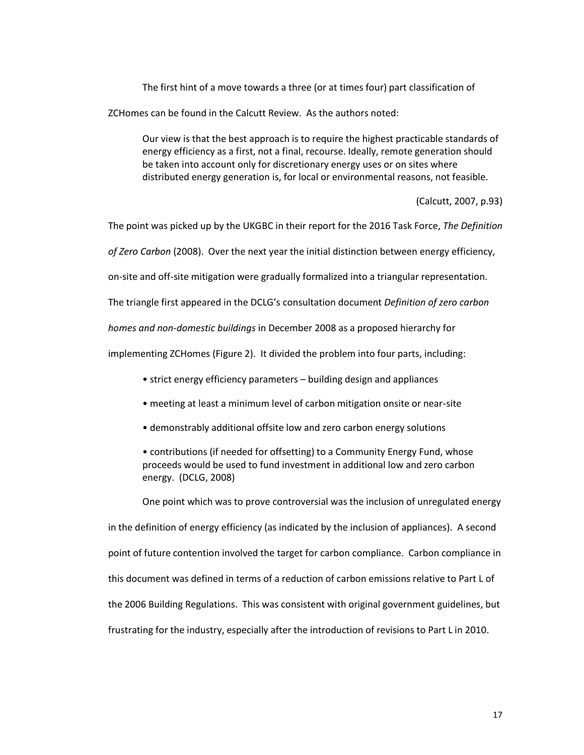The first hint of a move towards a three (or at times four) part classification of ZCHomes can be found in the Calcutt Review. As the authors noted:

Our view is that the best approach is to require the highest practicable standards of energy efficiency as a first, not a final, recourse. Ideally, remote generation should be taken into account only for discretionary energy uses or on sites where distributed energy generation is, for local or environmental reasons, not feasible.

[\(Calcutt, 2007, p.93\)](#page-39-7)

The point was picked up by the UKGBC in their report for the 2016 Task Force, *The Definition* 

*of Zero Carbon* [\(2008\)](#page-41-6). Over the next year the initial distinction between energy efficiency,

on-site and off-site mitigation were gradually formalized into a triangular representation.

The triangle first appeared in the DCLG's consultation document *Definition of zero carbon* 

*homes and non-domestic buildings* in December 2008 as a proposed hierarchy for

implementing ZCHomes (Figure 2). It divided the problem into four parts, including:

- strict energy efficiency parameters building design and appliances
- meeting at least a minimum level of carbon mitigation onsite or near-site
- demonstrably additional offsite low and zero carbon energy solutions

• contributions (if needed for offsetting) to a Community Energy Fund, whose proceeds would be used to fund investment in additional low and zero carbon energy. [\(DCLG, 2008\)](#page-39-12)

One point which was to prove controversial was the inclusion of unregulated energy in the definition of energy efficiency (as indicated by the inclusion of appliances). A second point of future contention involved the target for carbon compliance. Carbon compliance in this document was defined in terms of a reduction of carbon emissions relative to Part L of the 2006 Building Regulations. This was consistent with original government guidelines, but frustrating for the industry, especially after the introduction of revisions to Part L in 2010.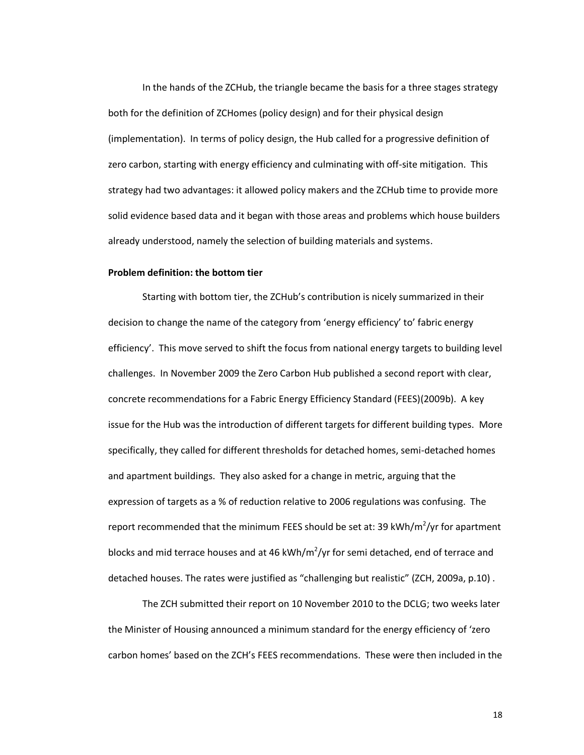In the hands of the ZCHub, the triangle became the basis for a three stages strategy both for the definition of ZCHomes (policy design) and for their physical design (implementation). In terms of policy design, the Hub called for a progressive definition of zero carbon, starting with energy efficiency and culminating with off-site mitigation. This strategy had two advantages: it allowed policy makers and the ZCHub time to provide more solid evidence based data and it began with those areas and problems which house builders already understood, namely the selection of building materials and systems.

# **Problem definition: the bottom tier**

Starting with bottom tier, the ZCHub's contribution is nicely summarized in their decision to change the name of the category from 'energy efficiency' to' fabric energy efficiency'. This move served to shift the focus from national energy targets to building level challenges. In November 2009 the Zero Carbon Hub published a second report with clear, concrete recommendations for a Fabric Energy Efficiency Standard (FEES)[\(2009b\)](#page-41-7). A key issue for the Hub was the introduction of different targets for different building types. More specifically, they called for different thresholds for detached homes, semi-detached homes and apartment buildings. They also asked for a change in metric, arguing that the expression of targets as a % of reduction relative to 2006 regulations was confusing. The report recommended that the minimum FEES should be set at: 39 kWh/m<sup>2</sup>/yr for apartment blocks and mid terrace houses and at 46 kWh/m<sup>2</sup>/yr for semi detached, end of terrace and detached houses. The rates were justified as "challenging but realistic" [\(ZCH, 2009a, p.10\)](#page-41-8) .

The ZCH submitted their report on 10 November 2010 to the DCLG; two weeks later the Minister of Housing announced a minimum standard for the energy efficiency of 'zero carbon homes' based on the ZCH's FEES recommendations. These were then included in the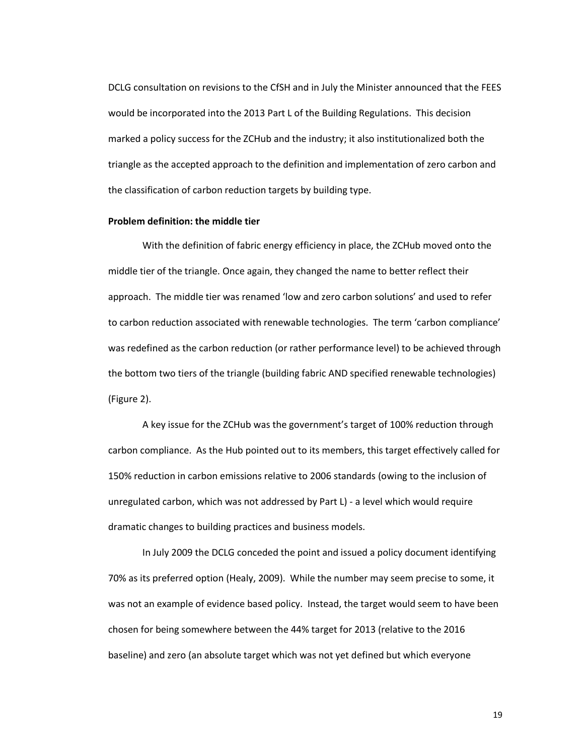DCLG consultation on revisions to the CfSH and in July the Minister announced that the FEES would be incorporated into the 2013 Part L of the Building Regulations. This decision marked a policy success for the ZCHub and the industry; it also institutionalized both the triangle as the accepted approach to the definition and implementation of zero carbon and the classification of carbon reduction targets by building type.

#### **Problem definition: the middle tier**

With the definition of fabric energy efficiency in place, the ZCHub moved onto the middle tier of the triangle. Once again, they changed the name to better reflect their approach. The middle tier was renamed 'low and zero carbon solutions' and used to refer to carbon reduction associated with renewable technologies. The term 'carbon compliance' was redefined as the carbon reduction (or rather performance level) to be achieved through the bottom two tiers of the triangle (building fabric AND specified renewable technologies) (Figure 2).

A key issue for the ZCHub was the government's target of 100% reduction through carbon compliance. As the Hub pointed out to its members, this target effectively called for 150% reduction in carbon emissions relative to 2006 standards (owing to the inclusion of unregulated carbon, which was not addressed by Part L) - a level which would require dramatic changes to building practices and business models.

In July 2009 the DCLG conceded the point and issued a policy document identifying 70% as its preferred option [\(Healy, 2009\)](#page-40-10). While the number may seem precise to some, it was not an example of evidence based policy. Instead, the target would seem to have been chosen for being somewhere between the 44% target for 2013 (relative to the 2016 baseline) and zero (an absolute target which was not yet defined but which everyone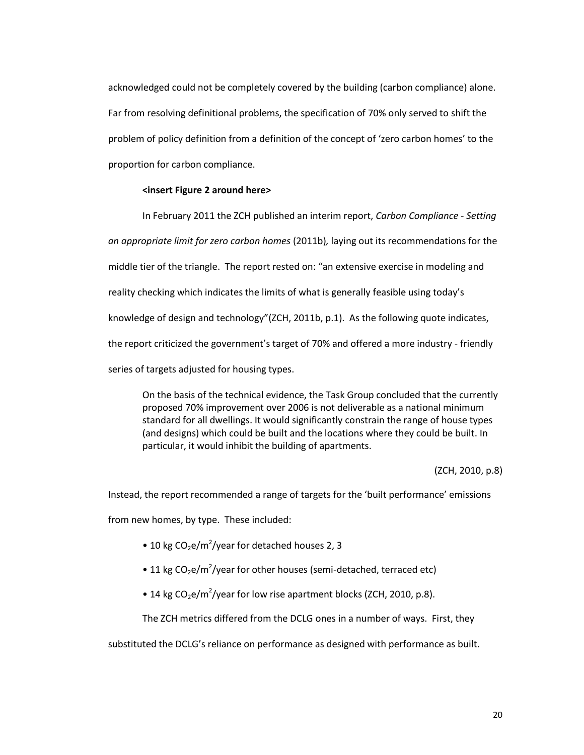acknowledged could not be completely covered by the building (carbon compliance) alone. Far from resolving definitional problems, the specification of 70% only served to shift the problem of policy definition from a definition of the concept of 'zero carbon homes' to the proportion for carbon compliance.

#### **<insert Figure 2 around here>**

In February 2011 the ZCH published an interim report, *Carbon Compliance - Setting an appropriate limit for zero carbon homes* [\(2011b\)](#page-41-9)*,* laying out its recommendations for the middle tier of the triangle. The report rested on: "an extensive exercise in modeling and reality checking which indicates the limits of what is generally feasible using today's knowledge of design and technology"[\(ZCH, 2011b, p.1\)](#page-41-9). As the following quote indicates, the report criticized the government's target of 70% and offered a more industry - friendly series of targets adjusted for housing types.

On the basis of the technical evidence, the Task Group concluded that the currently proposed 70% improvement over 2006 is not deliverable as a national minimum standard for all dwellings. It would significantly constrain the range of house types (and designs) which could be built and the locations where they could be built. In particular, it would inhibit the building of apartments.

[\(ZCH, 2010, p.8\)](#page-41-10)

Instead, the report recommended a range of targets for the 'built performance' emissions from new homes, by type. These included:

- 10 kg CO<sub>2</sub>e/m<sup>2</sup>/year for detached houses 2, 3
- 11 kg CO<sub>2</sub>e/m<sup>2</sup>/year for other houses (semi-detached, terraced etc)
- 14 kg CO<sub>2</sub>e/m<sup>2</sup>/year for low rise apartment blocks [\(ZCH, 2010, p.8\)](#page-41-10).

The ZCH metrics differed from the DCLG ones in a number of ways. First, they

substituted the DCLG's reliance on performance as designed with performance as built.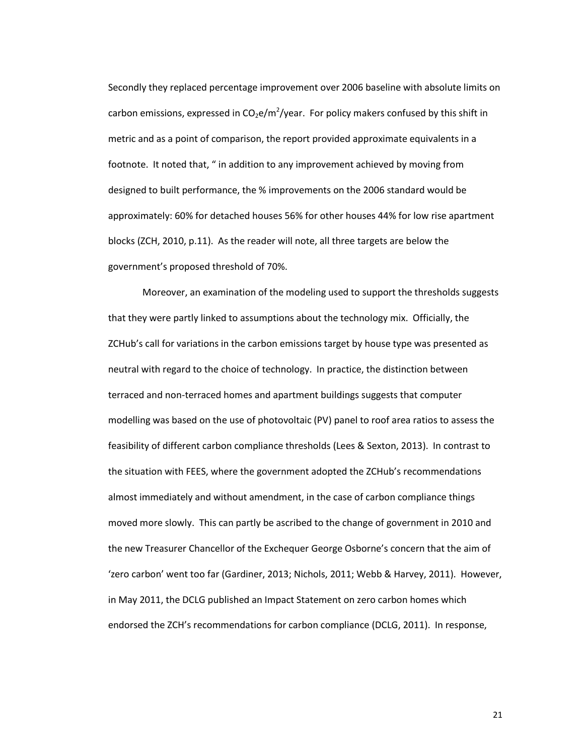Secondly they replaced percentage improvement over 2006 baseline with absolute limits on carbon emissions, expressed in  $CO_2$ e/m<sup>2</sup>/year. For policy makers confused by this shift in metric and as a point of comparison, the report provided approximate equivalents in a footnote. It noted that, " in addition to any improvement achieved by moving from designed to built performance, the % improvements on the 2006 standard would be approximately: 60% for detached houses 56% for other houses 44% for low rise apartment blocks [\(ZCH, 2010, p.11\)](#page-41-10). As the reader will note, all three targets are below the government's proposed threshold of 70%.

Moreover, an examination of the modeling used to support the thresholds suggests that they were partly linked to assumptions about the technology mix. Officially, the ZCHub's call for variations in the carbon emissions target by house type was presented as neutral with regard to the choice of technology. In practice, the distinction between terraced and non-terraced homes and apartment buildings suggests that computer modelling was based on the use of photovoltaic (PV) panel to roof area ratios to assess the feasibility of different carbon compliance thresholds [\(Lees & Sexton, 2013\)](#page-40-11). In contrast to the situation with FEES, where the government adopted the ZCHub's recommendations almost immediately and without amendment, in the case of carbon compliance things moved more slowly. This can partly be ascribed to the change of government in 2010 and the new Treasurer Chancellor of the Exchequer George Osborne's concern that the aim of 'zero carbon' went too far [\(Gardiner, 2013;](#page-39-13) [Nichols, 2011;](#page-40-12) [Webb & Harvey, 2011\)](#page-41-11). However, in May 2011, the DCLG published an Impact Statement on zero carbon homes which endorsed the ZCH's recommendations for carbon compliance [\(DCLG, 2011\)](#page-39-14). In response,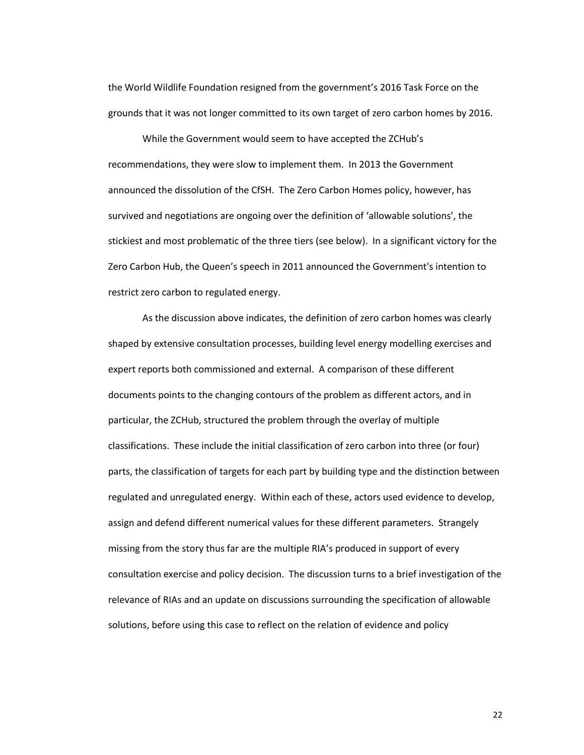the World Wildlife Foundation resigned from the government's 2016 Task Force on the grounds that it was not longer committed to its own target of zero carbon homes by 2016.

While the Government would seem to have accepted the ZCHub's recommendations, they were slow to implement them. In 2013 the Government announced the dissolution of the CfSH. The Zero Carbon Homes policy, however, has survived and negotiations are ongoing over the definition of 'allowable solutions', the stickiest and most problematic of the three tiers (see below). In a significant victory for the Zero Carbon Hub, the Queen's speech in 2011 announced the Government's intention to restrict zero carbon to regulated energy.

As the discussion above indicates, the definition of zero carbon homes was clearly shaped by extensive consultation processes, building level energy modelling exercises and expert reports both commissioned and external. A comparison of these different documents points to the changing contours of the problem as different actors, and in particular, the ZCHub, structured the problem through the overlay of multiple classifications. These include the initial classification of zero carbon into three (or four) parts, the classification of targets for each part by building type and the distinction between regulated and unregulated energy. Within each of these, actors used evidence to develop, assign and defend different numerical values for these different parameters. Strangely missing from the story thus far are the multiple RIA's produced in support of every consultation exercise and policy decision. The discussion turns to a brief investigation of the relevance of RIAs and an update on discussions surrounding the specification of allowable solutions, before using this case to reflect on the relation of evidence and policy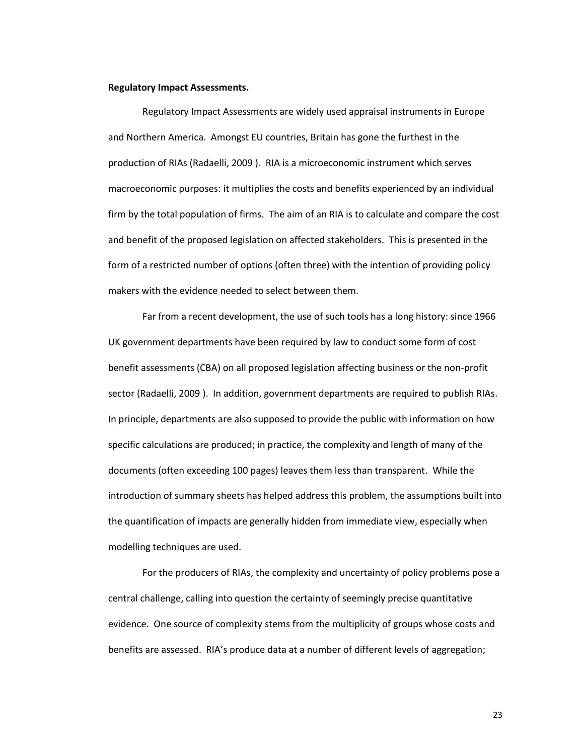#### **Regulatory Impact Assessments.**

Regulatory Impact Assessments are widely used appraisal instruments in Europe and Northern America. Amongst EU countries, Britain has gone the furthest in the production of RIAs [\(Radaelli, 2009 \)](#page-41-12). RIA is a microeconomic instrument which serves macroeconomic purposes: it multiplies the costs and benefits experienced by an individual firm by the total population of firms. The aim of an RIA is to calculate and compare the cost and benefit of the proposed legislation on affected stakeholders. This is presented in the form of a restricted number of options (often three) with the intention of providing policy makers with the evidence needed to select between them.

Far from a recent development, the use of such tools has a long history: since 1966 UK government departments have been required by law to conduct some form of cost benefit assessments (CBA) on all proposed legislation affecting business or the non-profit sector [\(Radaelli, 2009 \)](#page-41-12). In addition, government departments are required to publish RIAs. In principle, departments are also supposed to provide the public with information on how specific calculations are produced; in practice, the complexity and length of many of the documents (often exceeding 100 pages) leaves them less than transparent. While the introduction of summary sheets has helped address this problem, the assumptions built into the quantification of impacts are generally hidden from immediate view, especially when modelling techniques are used.

For the producers of RIAs, the complexity and uncertainty of policy problems pose a central challenge, calling into question the certainty of seemingly precise quantitative evidence. One source of complexity stems from the multiplicity of groups whose costs and benefits are assessed. RIA's produce data at a number of different levels of aggregation;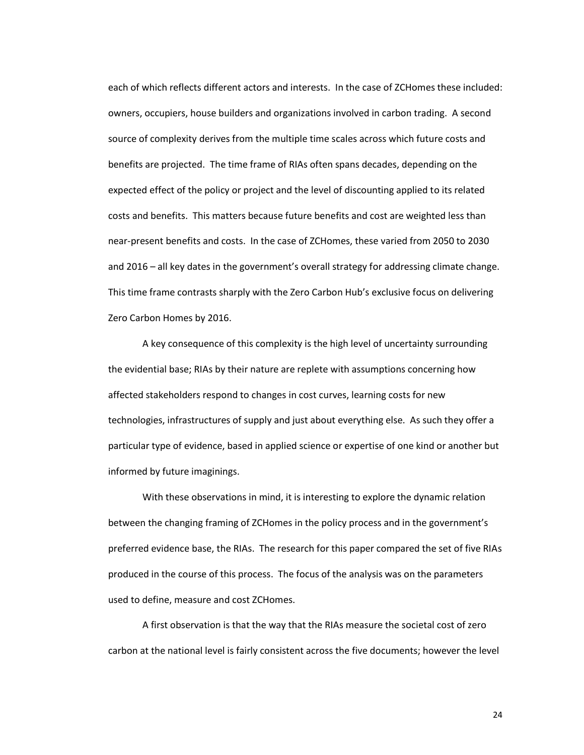each of which reflects different actors and interests. In the case of ZCHomes these included: owners, occupiers, house builders and organizations involved in carbon trading. A second source of complexity derives from the multiple time scales across which future costs and benefits are projected. The time frame of RIAs often spans decades, depending on the expected effect of the policy or project and the level of discounting applied to its related costs and benefits. This matters because future benefits and cost are weighted less than near-present benefits and costs. In the case of ZCHomes, these varied from 2050 to 2030 and 2016 – all key dates in the government's overall strategy for addressing climate change. This time frame contrasts sharply with the Zero Carbon Hub's exclusive focus on delivering Zero Carbon Homes by 2016.

A key consequence of this complexity is the high level of uncertainty surrounding the evidential base; RIAs by their nature are replete with assumptions concerning how affected stakeholders respond to changes in cost curves, learning costs for new technologies, infrastructures of supply and just about everything else. As such they offer a particular type of evidence, based in applied science or expertise of one kind or another but informed by future imaginings.

With these observations in mind, it is interesting to explore the dynamic relation between the changing framing of ZCHomes in the policy process and in the government's preferred evidence base, the RIAs. The research for this paper compared the set of five RIAs produced in the course of this process. The focus of the analysis was on the parameters used to define, measure and cost ZCHomes.

A first observation is that the way that the RIAs measure the societal cost of zero carbon at the national level is fairly consistent across the five documents; however the level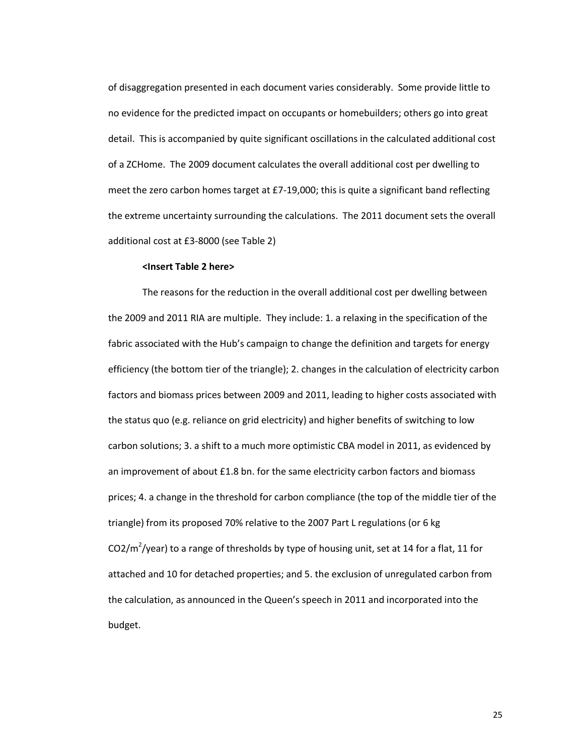of disaggregation presented in each document varies considerably. Some provide little to no evidence for the predicted impact on occupants or homebuilders; others go into great detail. This is accompanied by quite significant oscillations in the calculated additional cost of a ZCHome. The 2009 document calculates the overall additional cost per dwelling to meet the zero carbon homes target at £7-19,000; this is quite a significant band reflecting the extreme uncertainty surrounding the calculations. The 2011 document sets the overall additional cost at £3-8000 (see Table 2)

# **<Insert Table 2 here>**

The reasons for the reduction in the overall additional cost per dwelling between the 2009 and 2011 RIA are multiple. They include: 1. a relaxing in the specification of the fabric associated with the Hub's campaign to change the definition and targets for energy efficiency (the bottom tier of the triangle); 2. changes in the calculation of electricity carbon factors and biomass prices between 2009 and 2011, leading to higher costs associated with the status quo (e.g. reliance on grid electricity) and higher benefits of switching to low carbon solutions; 3. a shift to a much more optimistic CBA model in 2011, as evidenced by an improvement of about £1.8 bn. for the same electricity carbon factors and biomass prices; 4. a change in the threshold for carbon compliance (the top of the middle tier of the triangle) from its proposed 70% relative to the 2007 Part L regulations (or 6 kg CO2/m<sup>2</sup>/year) to a range of thresholds by type of housing unit, set at 14 for a flat, 11 for attached and 10 for detached properties; and 5. the exclusion of unregulated carbon from the calculation, as announced in the Queen's speech in 2011 and incorporated into the budget.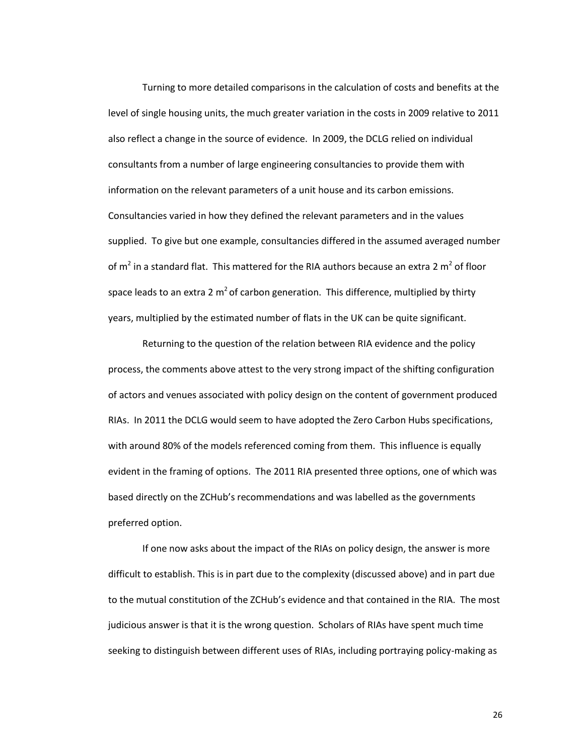Turning to more detailed comparisons in the calculation of costs and benefits at the level of single housing units, the much greater variation in the costs in 2009 relative to 2011 also reflect a change in the source of evidence. In 2009, the DCLG relied on individual consultants from a number of large engineering consultancies to provide them with information on the relevant parameters of a unit house and its carbon emissions. Consultancies varied in how they defined the relevant parameters and in the values supplied. To give but one example, consultancies differed in the assumed averaged number of m<sup>2</sup> in a standard flat. This mattered for the RIA authors because an extra 2 m<sup>2</sup> of floor space leads to an extra 2 m<sup>2</sup> of carbon generation. This difference, multiplied by thirty years, multiplied by the estimated number of flats in the UK can be quite significant.

Returning to the question of the relation between RIA evidence and the policy process, the comments above attest to the very strong impact of the shifting configuration of actors and venues associated with policy design on the content of government produced RIAs. In 2011 the DCLG would seem to have adopted the Zero Carbon Hubs specifications, with around 80% of the models referenced coming from them. This influence is equally evident in the framing of options. The 2011 RIA presented three options, one of which was based directly on the ZCHub's recommendations and was labelled as the governments preferred option.

If one now asks about the impact of the RIAs on policy design, the answer is more difficult to establish. This is in part due to the complexity (discussed above) and in part due to the mutual constitution of the ZCHub's evidence and that contained in the RIA. The most judicious answer is that it is the wrong question. Scholars of RIAs have spent much time seeking to distinguish between different uses of RIAs, including portraying policy-making as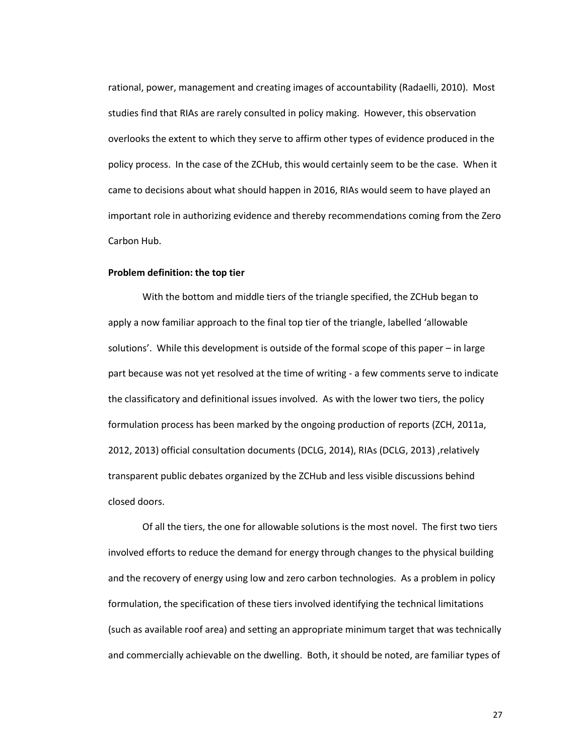rational, power, management and creating images of accountability [\(Radaelli, 2010\)](#page-41-13). Most studies find that RIAs are rarely consulted in policy making. However, this observation overlooks the extent to which they serve to affirm other types of evidence produced in the policy process. In the case of the ZCHub, this would certainly seem to be the case. When it came to decisions about what should happen in 2016, RIAs would seem to have played an important role in authorizing evidence and thereby recommendations coming from the Zero Carbon Hub.

# **Problem definition: the top tier**

With the bottom and middle tiers of the triangle specified, the ZCHub began to apply a now familiar approach to the final top tier of the triangle, labelled 'allowable solutions'. While this development is outside of the formal scope of this paper – in large part because was not yet resolved at the time of writing - a few comments serve to indicate the classificatory and definitional issues involved. As with the lower two tiers, the policy formulation process has been marked by the ongoing production of reports [\(ZCH, 2011a,](#page-41-14) [2012,](#page-41-15) [2013\)](#page-41-16) official consultation documents [\(DCLG, 2014\)](#page-39-15), RIAs [\(DCLG, 2013\)](#page-39-16) ,relatively transparent public debates organized by the ZCHub and less visible discussions behind closed doors.

Of all the tiers, the one for allowable solutions is the most novel. The first two tiers involved efforts to reduce the demand for energy through changes to the physical building and the recovery of energy using low and zero carbon technologies. As a problem in policy formulation, the specification of these tiers involved identifying the technical limitations (such as available roof area) and setting an appropriate minimum target that was technically and commercially achievable on the dwelling. Both, it should be noted, are familiar types of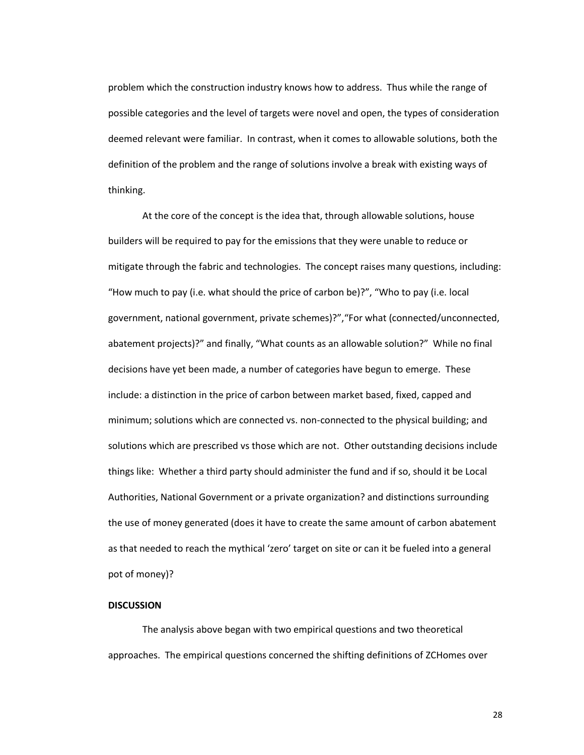problem which the construction industry knows how to address. Thus while the range of possible categories and the level of targets were novel and open, the types of consideration deemed relevant were familiar. In contrast, when it comes to allowable solutions, both the definition of the problem and the range of solutions involve a break with existing ways of thinking.

At the core of the concept is the idea that, through allowable solutions, house builders will be required to pay for the emissions that they were unable to reduce or mitigate through the fabric and technologies. The concept raises many questions, including: "How much to pay (i.e. what should the price of carbon be)?", "Who to pay (i.e. local government, national government, private schemes)?","For what (connected/unconnected, abatement projects)?" and finally, "What counts as an allowable solution?" While no final decisions have yet been made, a number of categories have begun to emerge. These include: a distinction in the price of carbon between market based, fixed, capped and minimum; solutions which are connected vs. non-connected to the physical building; and solutions which are prescribed vs those which are not. Other outstanding decisions include things like: Whether a third party should administer the fund and if so, should it be Local Authorities, National Government or a private organization? and distinctions surrounding the use of money generated (does it have to create the same amount of carbon abatement as that needed to reach the mythical 'zero' target on site or can it be fueled into a general pot of money)?

#### **DISCUSSION**

The analysis above began with two empirical questions and two theoretical approaches. The empirical questions concerned the shifting definitions of ZCHomes over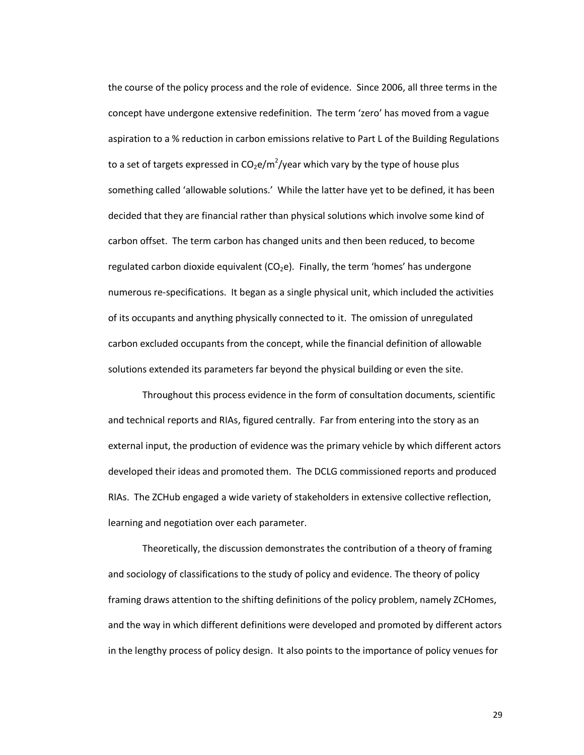the course of the policy process and the role of evidence. Since 2006, all three terms in the concept have undergone extensive redefinition. The term 'zero' has moved from a vague aspiration to a % reduction in carbon emissions relative to Part L of the Building Regulations to a set of targets expressed in CO<sub>2</sub>e/m<sup>2</sup>/year which vary by the type of house plus something called 'allowable solutions.' While the latter have yet to be defined, it has been decided that they are financial rather than physical solutions which involve some kind of carbon offset. The term carbon has changed units and then been reduced, to become regulated carbon dioxide equivalent  $(CO<sub>2</sub>e)$ . Finally, the term 'homes' has undergone numerous re-specifications. It began as a single physical unit, which included the activities of its occupants and anything physically connected to it. The omission of unregulated carbon excluded occupants from the concept, while the financial definition of allowable solutions extended its parameters far beyond the physical building or even the site.

Throughout this process evidence in the form of consultation documents, scientific and technical reports and RIAs, figured centrally. Far from entering into the story as an external input, the production of evidence was the primary vehicle by which different actors developed their ideas and promoted them. The DCLG commissioned reports and produced RIAs. The ZCHub engaged a wide variety of stakeholders in extensive collective reflection, learning and negotiation over each parameter.

Theoretically, the discussion demonstrates the contribution of a theory of framing and sociology of classifications to the study of policy and evidence. The theory of policy framing draws attention to the shifting definitions of the policy problem, namely ZCHomes, and the way in which different definitions were developed and promoted by different actors in the lengthy process of policy design. It also points to the importance of policy venues for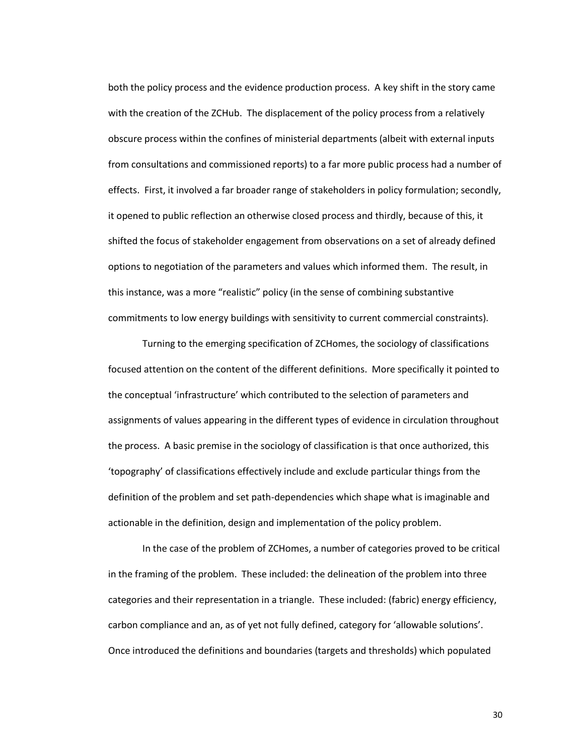both the policy process and the evidence production process. A key shift in the story came with the creation of the ZCHub. The displacement of the policy process from a relatively obscure process within the confines of ministerial departments (albeit with external inputs from consultations and commissioned reports) to a far more public process had a number of effects. First, it involved a far broader range of stakeholders in policy formulation; secondly, it opened to public reflection an otherwise closed process and thirdly, because of this, it shifted the focus of stakeholder engagement from observations on a set of already defined options to negotiation of the parameters and values which informed them. The result, in this instance, was a more "realistic" policy (in the sense of combining substantive commitments to low energy buildings with sensitivity to current commercial constraints).

Turning to the emerging specification of ZCHomes, the sociology of classifications focused attention on the content of the different definitions. More specifically it pointed to the conceptual 'infrastructure' which contributed to the selection of parameters and assignments of values appearing in the different types of evidence in circulation throughout the process. A basic premise in the sociology of classification is that once authorized, this 'topography' of classifications effectively include and exclude particular things from the definition of the problem and set path-dependencies which shape what is imaginable and actionable in the definition, design and implementation of the policy problem.

In the case of the problem of ZCHomes, a number of categories proved to be critical in the framing of the problem. These included: the delineation of the problem into three categories and their representation in a triangle. These included: (fabric) energy efficiency, carbon compliance and an, as of yet not fully defined, category for 'allowable solutions'. Once introduced the definitions and boundaries (targets and thresholds) which populated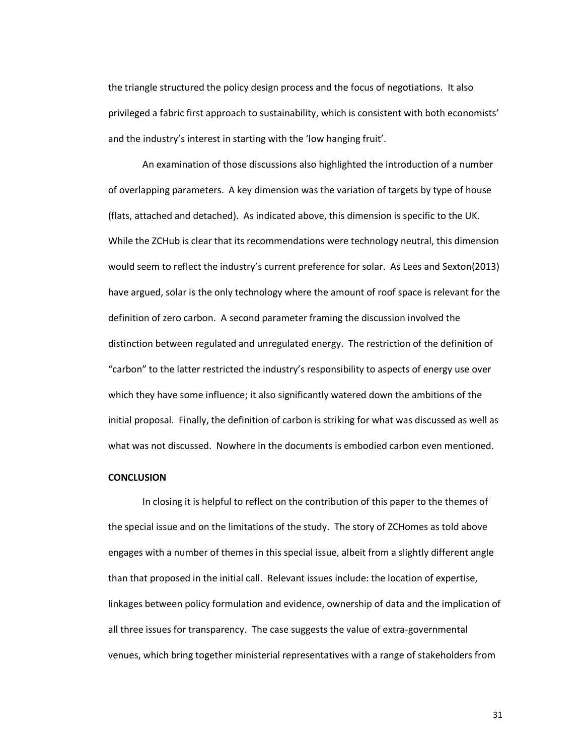the triangle structured the policy design process and the focus of negotiations. It also privileged a fabric first approach to sustainability, which is consistent with both economists' and the industry's interest in starting with the 'low hanging fruit'.

An examination of those discussions also highlighted the introduction of a number of overlapping parameters. A key dimension was the variation of targets by type of house (flats, attached and detached). As indicated above, this dimension is specific to the UK. While the ZCHub is clear that its recommendations were technology neutral, this dimension would seem to reflect the industry's current preference for solar. As Lees and Sexton[\(2013\)](#page-40-11) have argued, solar is the only technology where the amount of roof space is relevant for the definition of zero carbon. A second parameter framing the discussion involved the distinction between regulated and unregulated energy. The restriction of the definition of "carbon" to the latter restricted the industry's responsibility to aspects of energy use over which they have some influence; it also significantly watered down the ambitions of the initial proposal. Finally, the definition of carbon is striking for what was discussed as well as what was not discussed. Nowhere in the documents is embodied carbon even mentioned.

# **CONCLUSION**

In closing it is helpful to reflect on the contribution of this paper to the themes of the special issue and on the limitations of the study. The story of ZCHomes as told above engages with a number of themes in this special issue, albeit from a slightly different angle than that proposed in the initial call. Relevant issues include: the location of expertise, linkages between policy formulation and evidence, ownership of data and the implication of all three issues for transparency. The case suggests the value of extra-governmental venues, which bring together ministerial representatives with a range of stakeholders from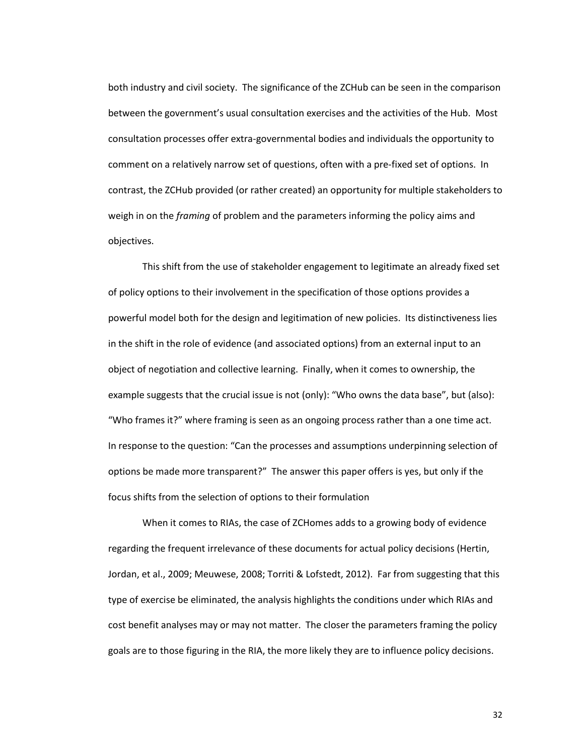both industry and civil society. The significance of the ZCHub can be seen in the comparison between the government's usual consultation exercises and the activities of the Hub. Most consultation processes offer extra-governmental bodies and individuals the opportunity to comment on a relatively narrow set of questions, often with a pre-fixed set of options. In contrast, the ZCHub provided (or rather created) an opportunity for multiple stakeholders to weigh in on the *framing* of problem and the parameters informing the policy aims and objectives.

This shift from the use of stakeholder engagement to legitimate an already fixed set of policy options to their involvement in the specification of those options provides a powerful model both for the design and legitimation of new policies. Its distinctiveness lies in the shift in the role of evidence (and associated options) from an external input to an object of negotiation and collective learning. Finally, when it comes to ownership, the example suggests that the crucial issue is not (only): "Who owns the data base", but (also): "Who frames it?" where framing is seen as an ongoing process rather than a one time act. In response to the question: "Can the processes and assumptions underpinning selection of options be made more transparent?" The answer this paper offers is yes, but only if the focus shifts from the selection of options to their formulation

When it comes to RIAs, the case of ZCHomes adds to a growing body of evidence regarding the frequent irrelevance of these documents for actual policy decisions [\(Hertin,](#page-40-13)  [Jordan, et al., 2009;](#page-40-13) [Meuwese, 2008;](#page-40-14) [Torriti & Lofstedt, 2012\)](#page-41-17). Far from suggesting that this type of exercise be eliminated, the analysis highlights the conditions under which RIAs and cost benefit analyses may or may not matter. The closer the parameters framing the policy goals are to those figuring in the RIA, the more likely they are to influence policy decisions.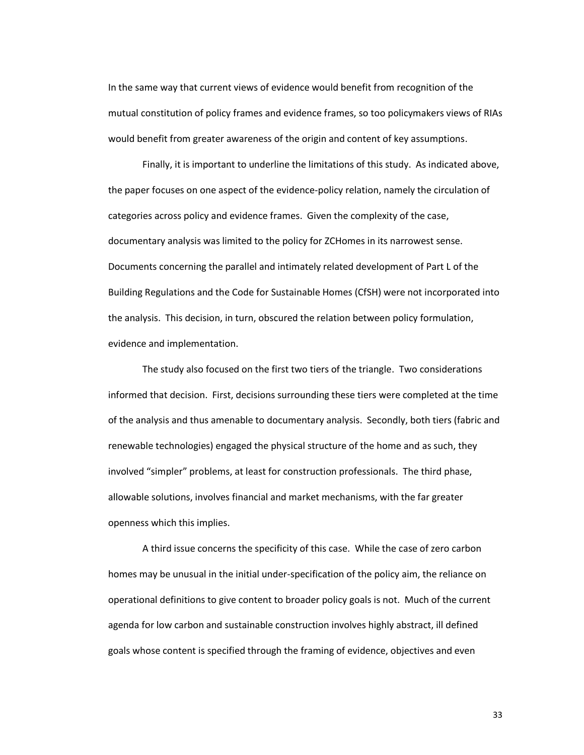In the same way that current views of evidence would benefit from recognition of the mutual constitution of policy frames and evidence frames, so too policymakers views of RIAs would benefit from greater awareness of the origin and content of key assumptions.

Finally, it is important to underline the limitations of this study. As indicated above, the paper focuses on one aspect of the evidence-policy relation, namely the circulation of categories across policy and evidence frames. Given the complexity of the case, documentary analysis was limited to the policy for ZCHomes in its narrowest sense. Documents concerning the parallel and intimately related development of Part L of the Building Regulations and the Code for Sustainable Homes (CfSH) were not incorporated into the analysis. This decision, in turn, obscured the relation between policy formulation, evidence and implementation.

The study also focused on the first two tiers of the triangle. Two considerations informed that decision. First, decisions surrounding these tiers were completed at the time of the analysis and thus amenable to documentary analysis. Secondly, both tiers (fabric and renewable technologies) engaged the physical structure of the home and as such, they involved "simpler" problems, at least for construction professionals. The third phase, allowable solutions, involves financial and market mechanisms, with the far greater openness which this implies.

A third issue concerns the specificity of this case. While the case of zero carbon homes may be unusual in the initial under-specification of the policy aim, the reliance on operational definitions to give content to broader policy goals is not. Much of the current agenda for low carbon and sustainable construction involves highly abstract, ill defined goals whose content is specified through the framing of evidence, objectives and even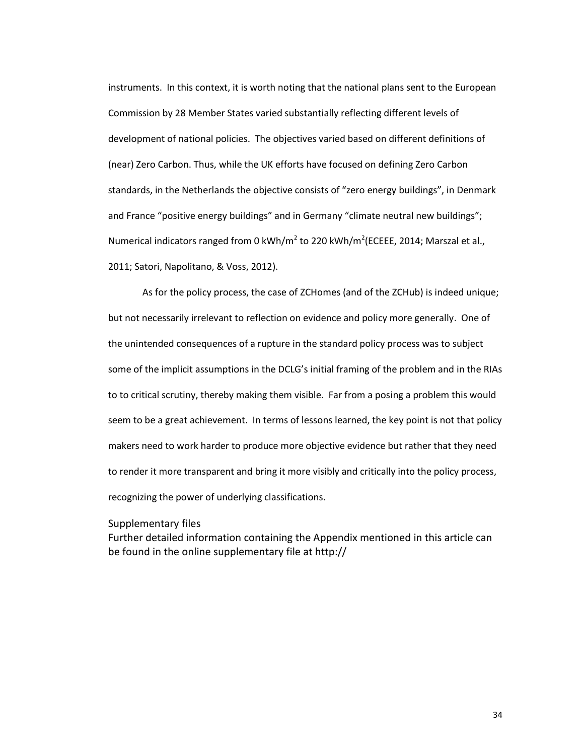instruments. In this context, it is worth noting that the national plans sent to the European Commission by 28 Member States varied substantially reflecting different levels of development of national policies. The objectives varied based on different definitions of (near) Zero Carbon. Thus, while the UK efforts have focused on defining Zero Carbon standards, in the Netherlands the objective consists of "zero energy buildings", in Denmark and France "positive energy buildings" and in Germany "climate neutral new buildings"; Numerical indicators ranged from 0 kWh/m<sup>2</sup> to 220 kWh/m<sup>2</sup> [\(ECEEE, 2014;](#page-39-17) Marszal et al., [2011;](#page-40-15) [Satori, Napolitano, & Voss, 2012\)](#page-41-18).

As for the policy process, the case of ZCHomes (and of the ZCHub) is indeed unique; but not necessarily irrelevant to reflection on evidence and policy more generally. One of the unintended consequences of a rupture in the standard policy process was to subject some of the implicit assumptions in the DCLG's initial framing of the problem and in the RIAs to to critical scrutiny, thereby making them visible. Far from a posing a problem this would seem to be a great achievement. In terms of lessons learned, the key point is not that policy makers need to work harder to produce more objective evidence but rather that they need to render it more transparent and bring it more visibly and critically into the policy process, recognizing the power of underlying classifications.

#### Supplementary files

Further detailed information containing the Appendix mentioned in this article can be found in the online supplementary file at http://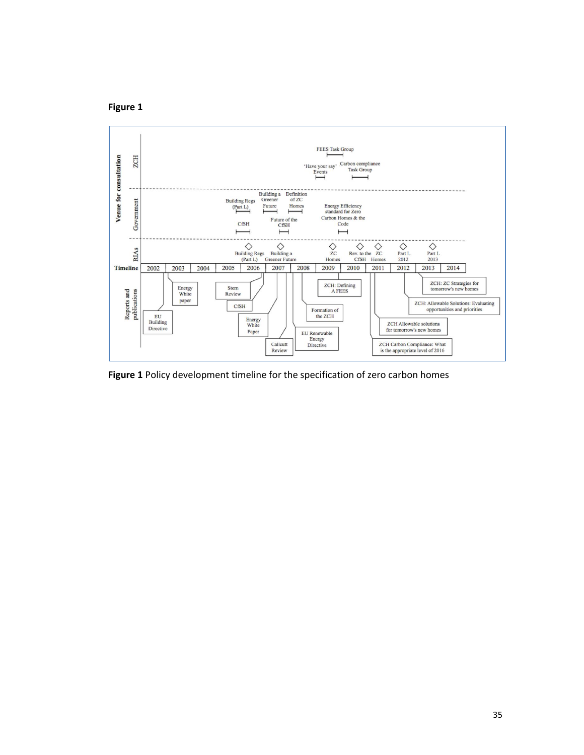



**Figure 1** Policy development timeline for the specification of zero carbon homes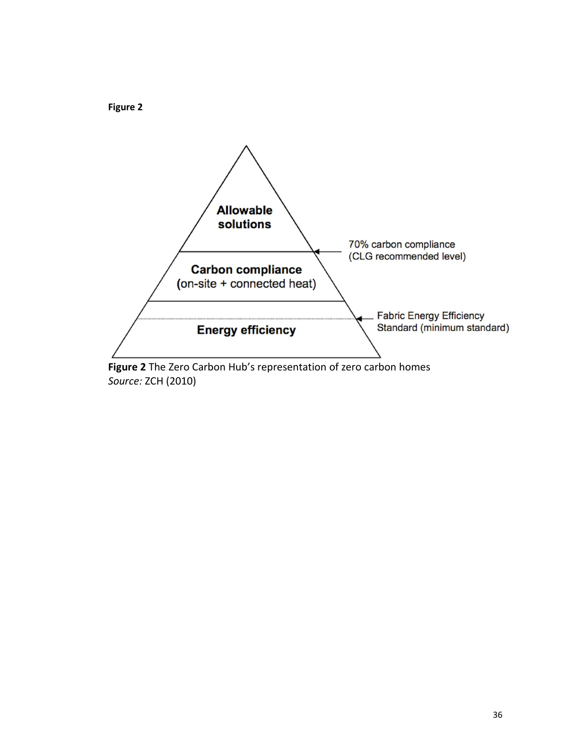**Figure 2**



*Source:* ZCH (2010)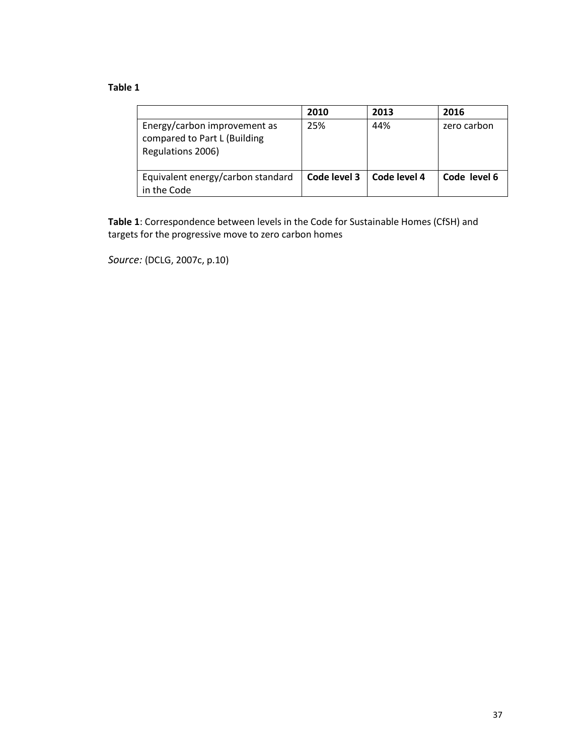# **Table 1**

|                                                                                   | 2010         | 2013           | 2016         |
|-----------------------------------------------------------------------------------|--------------|----------------|--------------|
| Energy/carbon improvement as<br>compared to Part L (Building<br>Regulations 2006) | 25%          | 44%            | zero carbon  |
| Equivalent energy/carbon standard<br>in the Code                                  | Code level 3 | l Code level 4 | Code level 6 |

**Table 1**: Correspondence between levels in the Code for Sustainable Homes (CfSH) and targets for the progressive move to zero carbon homes

*Source:* [\(DCLG, 2007c, p.10\)](#page-39-10)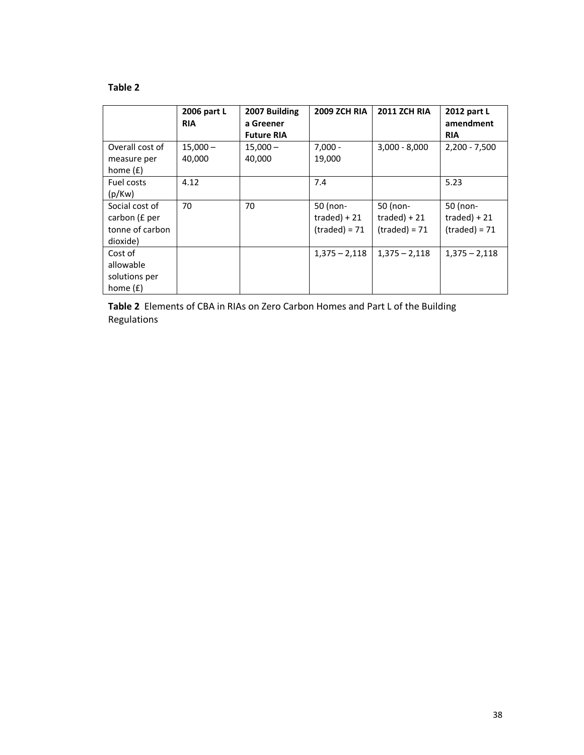# **Table 2**

|                                                                | 2006 part L<br><b>RIA</b> | 2007 Building<br>a Greener<br><b>Future RIA</b> | <b>2009 ZCH RIA</b>                            | <b>2011 ZCH RIA</b>                            | 2012 part L<br>amendment<br><b>RIA</b>         |
|----------------------------------------------------------------|---------------------------|-------------------------------------------------|------------------------------------------------|------------------------------------------------|------------------------------------------------|
| Overall cost of<br>measure per<br>home $(f)$                   | $15,000 -$<br>40,000      | $15,000 -$<br>40,000                            | $7,000 -$<br>19,000                            | $3,000 - 8,000$                                | $2,200 - 7,500$                                |
| Fuel costs<br>(p/Kw)                                           | 4.12                      |                                                 | 7.4                                            |                                                | 5.23                                           |
| Social cost of<br>carbon (£ per<br>tonne of carbon<br>dioxide) | 70                        | 70                                              | 50 (non-<br>$traded) + 21$<br>$(trained) = 71$ | 50 (non-<br>$traded) + 21$<br>$(trained) = 71$ | 50 (non-<br>$traded) + 21$<br>$(trained) = 71$ |
| Cost of<br>allowable<br>solutions per<br>home $(f)$            |                           |                                                 | $1,375 - 2,118$                                | $1,375 - 2,118$                                | $1,375 - 2,118$                                |

**Table 2** Elements of CBA in RIAs on Zero Carbon Homes and Part L of the Building Regulations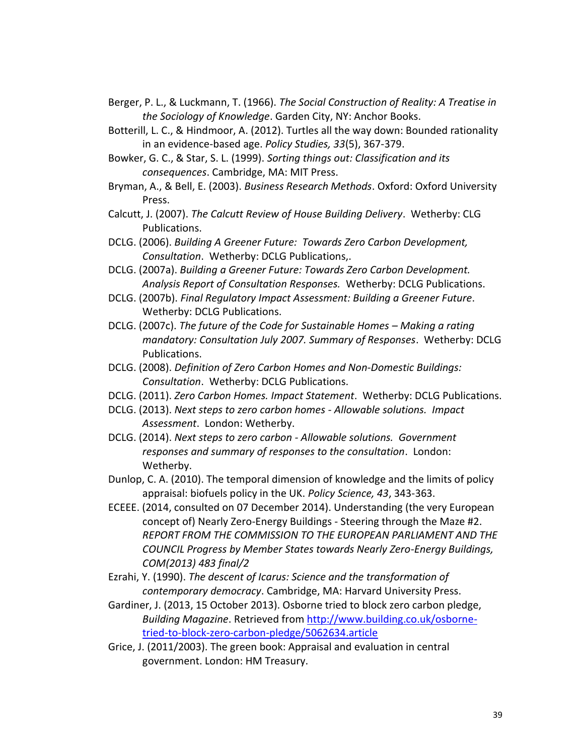- <span id="page-39-5"></span>Berger, P. L., & Luckmann, T. (1966). *The Social Construction of Reality: A Treatise in the Sociology of Knowledge*. Garden City, NY: Anchor Books.
- <span id="page-39-0"></span>Botterill, L. C., & Hindmoor, A. (2012). Turtles all the way down: Bounded rationality in an evidence-based age. *Policy Studies, 33*(5), 367-379.
- <span id="page-39-4"></span>Bowker, G. C., & Star, S. L. (1999). *Sorting things out: Classification and its consequences*. Cambridge, MA: MIT Press.
- <span id="page-39-6"></span>Bryman, A., & Bell, E. (2003). *Business Research Methods*. Oxford: Oxford University Press.
- <span id="page-39-7"></span>Calcutt, J. (2007). *The Calcutt Review of House Building Delivery*. Wetherby: CLG Publications.
- <span id="page-39-8"></span>DCLG. (2006). *Building A Greener Future: Towards Zero Carbon Development, Consultation*. Wetherby: DCLG Publications,.
- <span id="page-39-11"></span>DCLG. (2007a). *Building a Greener Future: Towards Zero Carbon Development. Analysis Report of Consultation Responses.* Wetherby: DCLG Publications.
- <span id="page-39-9"></span>DCLG. (2007b). *Final Regulatory Impact Assessment: Building a Greener Future*. Wetherby: DCLG Publications.
- <span id="page-39-10"></span>DCLG. (2007c). *The future of the Code for Sustainable Homes – Making a rating mandatory: Consultation July 2007. Summary of Responses*. Wetherby: DCLG Publications.
- <span id="page-39-12"></span>DCLG. (2008). *Definition of Zero Carbon Homes and Non-Domestic Buildings: Consultation*. Wetherby: DCLG Publications.
- <span id="page-39-14"></span>DCLG. (2011). *Zero Carbon Homes. Impact Statement*. Wetherby: DCLG Publications.
- <span id="page-39-16"></span>DCLG. (2013). *Next steps to zero carbon homes - Allowable solutions. Impact Assessment*. London: Wetherby.
- <span id="page-39-15"></span>DCLG. (2014). *Next steps to zero carbon - Allowable solutions. Government responses and summary of responses to the consultation*. London: Wetherby.
- <span id="page-39-3"></span>Dunlop, C. A. (2010). The temporal dimension of knowledge and the limits of policy appraisal: biofuels policy in the UK. *Policy Science, 43*, 343-363.
- <span id="page-39-17"></span>ECEEE. (2014, consulted on 07 December 2014). Understanding (the very European concept of) Nearly Zero-Energy Buildings - Steering through the Maze #2. *REPORT FROM THE COMMISSION TO THE EUROPEAN PARLIAMENT AND THE COUNCIL Progress by Member States towards Nearly Zero-Energy Buildings, COM(2013) 483 final/2*
- <span id="page-39-1"></span>Ezrahi, Y. (1990). *The descent of Icarus: Science and the transformation of contemporary democracy*. Cambridge, MA: Harvard University Press.
- <span id="page-39-13"></span>Gardiner, J. (2013, 15 October 2013). Osborne tried to block zero carbon pledge, *Building Magazine*. Retrieved from [http://www.building.co.uk/osborne](http://www.building.co.uk/osborne-tried-to-block-zero-carbon-pledge/5062634.article)[tried-to-block-zero-carbon-pledge/5062634.article](http://www.building.co.uk/osborne-tried-to-block-zero-carbon-pledge/5062634.article)
- <span id="page-39-2"></span>Grice, J. (2011/2003). The green book: Appraisal and evaluation in central government. London: HM Treasury.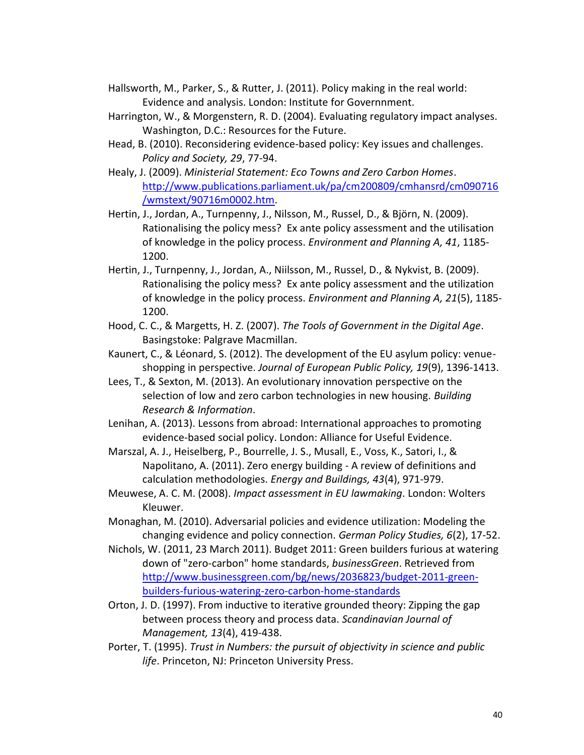- <span id="page-40-1"></span>Hallsworth, M., Parker, S., & Rutter, J. (2011). Policy making in the real world: Evidence and analysis. London: Institute for Governnment.
- <span id="page-40-8"></span>Harrington, W., & Morgenstern, R. D. (2004). Evaluating regulatory impact analyses. Washington, D.C.: Resources for the Future.
- <span id="page-40-4"></span>Head, B. (2010). Reconsidering evidence-based policy: Key issues and challenges. *Policy and Society, 29*, 77-94.
- <span id="page-40-10"></span>Healy, J. (2009). *Ministerial Statement: Eco Towns and Zero Carbon Homes*. [http://www.publications.parliament.uk/pa/cm200809/cmhansrd/cm090716](http://www.publications.parliament.uk/pa/cm200809/cmhansrd/cm090716/wmstext/90716m0002.htm) [/wmstext/90716m0002.htm.](http://www.publications.parliament.uk/pa/cm200809/cmhansrd/cm090716/wmstext/90716m0002.htm)
- <span id="page-40-13"></span>Hertin, J., Jordan, A., Turnpenny, J., Nilsson, M., Russel, D., & Björn, N. (2009). Rationalising the policy mess? Ex ante policy assessment and the utilisation of knowledge in the policy process. *Environment and Planning A, 41*, 1185- 1200.
- <span id="page-40-5"></span>Hertin, J., Turnpenny, J., Jordan, A., Niilsson, M., Russel, D., & Nykvist, B. (2009). Rationalising the policy mess? Ex ante policy assessment and the utilization of knowledge in the policy process. *Environment and Planning A, 21*(5), 1185- 1200.
- <span id="page-40-7"></span>Hood, C. C., & Margetts, H. Z. (2007). *The Tools of Government in the Digital Age*. Basingstoke: Palgrave Macmillan.
- <span id="page-40-6"></span>Kaunert, C., & Léonard, S. (2012). The development of the EU asylum policy: venueshopping in perspective. *Journal of European Public Policy, 19*(9), 1396-1413.
- <span id="page-40-11"></span>Lees, T., & Sexton, M. (2013). An evolutionary innovation perspective on the selection of low and zero carbon technologies in new housing. *Building Research & Information*.
- <span id="page-40-2"></span>Lenihan, A. (2013). Lessons from abroad: International approaches to promoting evidence-based social policy. London: Alliance for Useful Evidence.
- <span id="page-40-15"></span>Marszal, A. J., Heiselberg, P., Bourrelle, J. S., Musall, E., Voss, K., Satori, I., & Napolitano, A. (2011). Zero energy building - A review of definitions and calculation methodologies. *Energy and Buildings, 43*(4), 971-979.
- <span id="page-40-14"></span>Meuwese, A. C. M. (2008). *Impact assessment in EU lawmaking*. London: Wolters Kleuwer.
- <span id="page-40-0"></span>Monaghan, M. (2010). Adversarial policies and evidence utilization: Modeling the changing evidence and policy connection. *German Policy Studies, 6*(2), 17-52.
- <span id="page-40-12"></span>Nichols, W. (2011, 23 March 2011). Budget 2011: Green builders furious at watering down of "zero-carbon" home standards, *businessGreen*. Retrieved from [http://www.businessgreen.com/bg/news/2036823/budget-2011-green](http://www.businessgreen.com/bg/news/2036823/budget-2011-green-builders-furious-watering-zero-carbon-home-standards)[builders-furious-watering-zero-carbon-home-standards](http://www.businessgreen.com/bg/news/2036823/budget-2011-green-builders-furious-watering-zero-carbon-home-standards)
- <span id="page-40-9"></span>Orton, J. D. (1997). From inductive to iterative grounded theory: Zipping the gap between process theory and process data. *Scandinavian Journal of Management, 13*(4), 419-438.
- <span id="page-40-3"></span>Porter, T. (1995). *Trust in Numbers: the pursuit of objectivity in science and public life*. Princeton, NJ: Princeton University Press.